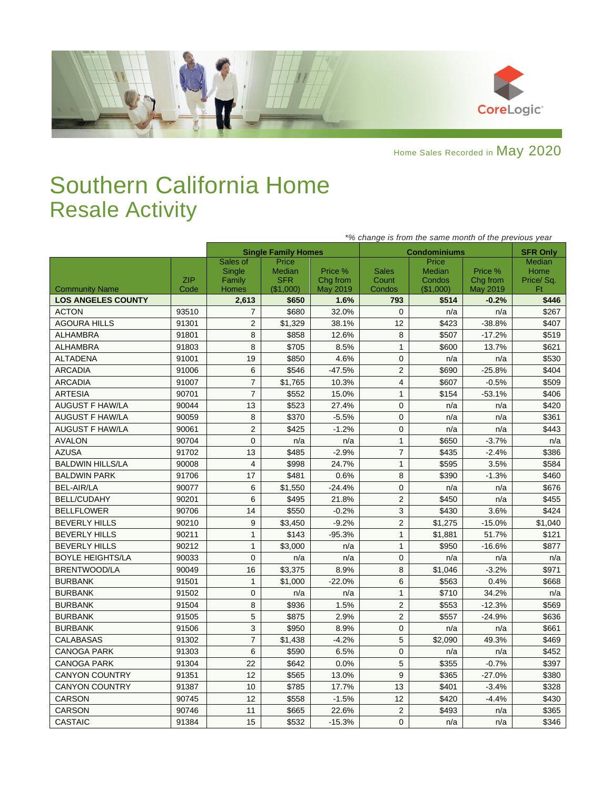

Home Sales Recorded in May 2020

## Southern California Home Resale Activity

|                           |                    | *% change is from the same month of the previous year |                                            |                                 |                                 |                                        |                                 |                                          |  |  |
|---------------------------|--------------------|-------------------------------------------------------|--------------------------------------------|---------------------------------|---------------------------------|----------------------------------------|---------------------------------|------------------------------------------|--|--|
|                           |                    |                                                       | <b>Single Family Homes</b>                 |                                 |                                 | <b>Condominiums</b>                    |                                 | <b>SFR Only</b>                          |  |  |
| <b>Community Name</b>     | <b>ZIP</b><br>Code | Sales of<br>Single<br>Family<br><b>Homes</b>          | Price<br>Median<br><b>SFR</b><br>(\$1,000) | Price %<br>Chg from<br>May 2019 | <b>Sales</b><br>Count<br>Condos | Price<br>Median<br>Condos<br>(\$1,000) | Price %<br>Chg from<br>May 2019 | <b>Median</b><br>Home<br>Price/Sq.<br>Ft |  |  |
| <b>LOS ANGELES COUNTY</b> |                    | 2,613                                                 | \$650                                      | 1.6%                            | 793                             | \$514                                  | $-0.2%$                         | \$446                                    |  |  |
| <b>ACTON</b>              | 93510              | 7                                                     | \$680                                      | 32.0%                           | $\Omega$                        | n/a                                    | n/a                             | \$267                                    |  |  |
| <b>AGOURA HILLS</b>       | 91301              | 2                                                     | \$1,329                                    | 38.1%                           | 12                              | \$423                                  | $-38.8%$                        | \$407                                    |  |  |
| <b>ALHAMBRA</b>           | 91801              | 8                                                     | \$858                                      | 12.6%                           | 8                               | \$507                                  | $-17.2%$                        | \$519                                    |  |  |
| <b>ALHAMBRA</b>           | 91803              | 8                                                     | \$705                                      | 8.5%                            | $\mathbf{1}$                    | \$600                                  | 13.7%                           | \$621                                    |  |  |
| <b>ALTADENA</b>           | 91001              | 19                                                    | \$850                                      | 4.6%                            | 0                               | n/a                                    | n/a                             | \$530                                    |  |  |
| <b>ARCADIA</b>            | 91006              | 6                                                     | \$546                                      | $-47.5%$                        | $\overline{2}$                  | \$690                                  | $-25.8%$                        | \$404                                    |  |  |
| <b>ARCADIA</b>            | 91007              | $\overline{7}$                                        | \$1,765                                    | 10.3%                           | 4                               | \$607                                  | $-0.5%$                         | \$509                                    |  |  |
| <b>ARTESIA</b>            | 90701              | $\overline{7}$                                        | \$552                                      | 15.0%                           | $\mathbf{1}$                    | \$154                                  | $-53.1%$                        | \$406                                    |  |  |
| <b>AUGUST F HAW/LA</b>    | 90044              | 13                                                    | \$523                                      | 27.4%                           | 0                               | n/a                                    | n/a                             | \$420                                    |  |  |
| <b>AUGUST F HAW/LA</b>    | 90059              | 8                                                     | \$370                                      | $-5.5%$                         | 0                               | n/a                                    | n/a                             | \$361                                    |  |  |
| <b>AUGUST F HAW/LA</b>    | 90061              | $\overline{2}$                                        | \$425                                      | $-1.2%$                         | 0                               | n/a                                    | n/a                             | \$443                                    |  |  |
| <b>AVALON</b>             | 90704              | $\pmb{0}$                                             | n/a                                        | n/a                             | $\mathbf{1}$                    | \$650                                  | $-3.7%$                         | n/a                                      |  |  |
| <b>AZUSA</b>              | 91702              | 13                                                    | \$485                                      | $-2.9%$                         | $\overline{7}$                  | \$435                                  | $-2.4%$                         | \$386                                    |  |  |
| <b>BALDWIN HILLS/LA</b>   | 90008              | $\overline{4}$                                        | \$998                                      | 24.7%                           | $\mathbf{1}$                    | \$595                                  | 3.5%                            | \$584                                    |  |  |
| <b>BALDWIN PARK</b>       | 91706              | 17                                                    | \$481                                      | 0.6%                            | 8                               | \$390                                  | $-1.3%$                         | \$460                                    |  |  |
| <b>BEL-AIR/LA</b>         | 90077              | 6                                                     | \$1,550                                    | $-24.4%$                        | $\mathbf 0$                     | n/a                                    | n/a                             | \$676                                    |  |  |
| <b>BELL/CUDAHY</b>        | 90201              | 6                                                     | \$495                                      | 21.8%                           | $\overline{2}$                  | \$450                                  | n/a                             | \$455                                    |  |  |
| <b>BELLFLOWER</b>         | 90706              | 14                                                    | \$550                                      | $-0.2%$                         | 3                               | \$430                                  | 3.6%                            | \$424                                    |  |  |
| <b>BEVERLY HILLS</b>      | 90210              | 9                                                     | \$3,450                                    | $-9.2%$                         | $\overline{2}$                  | \$1,275                                | $-15.0%$                        | \$1,040                                  |  |  |
| <b>BEVERLY HILLS</b>      | 90211              | $\mathbf{1}$                                          | \$143                                      | $-95.3%$                        | $\mathbf{1}$                    | \$1,881                                | 51.7%                           | \$121                                    |  |  |
| <b>BEVERLY HILLS</b>      | 90212              | $\mathbf{1}$                                          | \$3,000                                    | n/a                             | $\mathbf{1}$                    | \$950                                  | $-16.6%$                        | \$877                                    |  |  |
| <b>BOYLE HEIGHTS/LA</b>   | 90033              | $\mathbf 0$                                           | n/a                                        | n/a                             | 0                               | n/a                                    | n/a                             | n/a                                      |  |  |
| <b>BRENTWOOD/LA</b>       | 90049              | 16                                                    | \$3,375                                    | 8.9%                            | 8                               | \$1,046                                | $-3.2%$                         | \$971                                    |  |  |
| <b>BURBANK</b>            | 91501              | $\mathbf{1}$                                          | \$1,000                                    | $-22.0%$                        | 6                               | \$563                                  | 0.4%                            | \$668                                    |  |  |
| <b>BURBANK</b>            | 91502              | $\Omega$                                              | n/a                                        | n/a                             | $\mathbf{1}$                    | \$710                                  | 34.2%                           | n/a                                      |  |  |
| <b>BURBANK</b>            | 91504              | 8                                                     | \$936                                      | 1.5%                            | $\overline{2}$                  | \$553                                  | $-12.3%$                        | \$569                                    |  |  |
| <b>BURBANK</b>            | 91505              | $\overline{5}$                                        | \$875                                      | 2.9%                            | $\overline{2}$                  | \$557                                  | $-24.9%$                        | \$636                                    |  |  |
| <b>BURBANK</b>            | 91506              | 3                                                     | \$950                                      | 8.9%                            | $\overline{0}$                  | n/a                                    | n/a                             | \$661                                    |  |  |
| <b>CALABASAS</b>          | 91302              | $\overline{7}$                                        | \$1,438                                    | $-4.2%$                         | 5                               | \$2,090                                | 49.3%                           | \$469                                    |  |  |
| <b>CANOGA PARK</b>        | 91303              | $\,6$                                                 | \$590                                      | 6.5%                            | 0                               | n/a                                    | n/a                             | \$452                                    |  |  |
| <b>CANOGA PARK</b>        | 91304              | 22                                                    | \$642                                      | 0.0%                            | 5                               | \$355                                  | $-0.7%$                         | \$397                                    |  |  |
| <b>CANYON COUNTRY</b>     | 91351              | 12                                                    | \$565                                      | 13.0%                           | 9                               | \$365                                  | $-27.0%$                        | \$380                                    |  |  |
| <b>CANYON COUNTRY</b>     | 91387              | 10                                                    | \$785                                      | 17.7%                           | 13                              | \$401                                  | $-3.4%$                         | \$328                                    |  |  |
| <b>CARSON</b>             | 90745              | 12                                                    | \$558                                      | $-1.5%$                         | 12                              | \$420                                  | $-4.4%$                         | \$430                                    |  |  |
| <b>CARSON</b>             | 90746              | 11                                                    | \$665                                      | 22.6%                           | $\overline{2}$                  | \$493                                  | n/a                             | \$365                                    |  |  |
| <b>CASTAIC</b>            | 91384              | 15                                                    | \$532                                      | $-15.3%$                        | $\Omega$                        | n/a                                    | n/a                             | \$346                                    |  |  |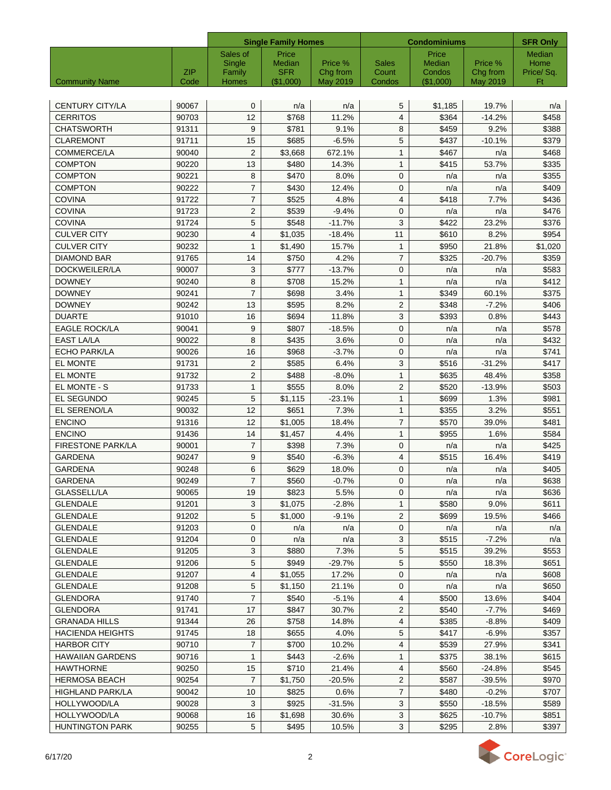| Sales of<br>Price<br>Price<br>Median<br>Median<br>Home<br>Single<br>Median<br>Price %<br><b>Sales</b><br>Price %<br><b>SFR</b><br>ZIP<br>Family<br>Chg from<br>Count<br>Condos<br>Chg from<br>Price/Sq.<br><b>Community Name</b><br>(\$1,000)<br>May 2019<br>(\$1,000)<br>May 2019<br>Ft<br>Code<br>Homes<br>Condos<br>0<br>5<br><b>CENTURY CITY/LA</b><br>90067<br>\$1,185<br>19.7%<br>n/a<br>n/a<br>n/a<br>12<br>\$768<br>$\overline{4}$<br><b>CERRITOS</b><br>90703<br>11.2%<br>\$364<br>$-14.2%$<br>\$458<br>9<br><b>CHATSWORTH</b><br>91311<br>8<br>\$459<br>9.2%<br>\$388<br>\$781<br>9.1%<br>5<br><b>CLAREMONT</b><br>15<br>\$685<br>\$379<br>91711<br>$-6.5%$<br>\$437<br>$-10.1%$<br><b>COMMERCE/LA</b><br>2<br>\$3,668<br>$\mathbf{1}$<br>90040<br>672.1%<br>\$467<br>n/a<br>\$468<br>90220<br>13<br>\$480<br>$\mathbf{1}$<br>\$415<br>53.7%<br>\$335<br><b>COMPTON</b><br>14.3%<br>\$470<br><b>COMPTON</b><br>90221<br>8<br>8.0%<br>$\mathbf 0$<br>\$355<br>n/a<br>n/a<br>$\overline{7}$<br><b>COMPTON</b><br>\$430<br>12.4%<br>$\mathbf{0}$<br>\$409<br>90222<br>n/a<br>n/a<br><b>COVINA</b><br>$\overline{7}$<br>\$525<br>4.8%<br>7.7%<br>\$436<br>91722<br>4<br>\$418<br><b>COVINA</b><br>2<br>\$539<br>$\mathbf 0$<br>\$476<br>91723<br>$-9.4%$<br>n/a<br>n/a<br><b>COVINA</b><br>91724<br>5<br>\$548<br>$-11.7%$<br>3<br>\$422<br>23.2%<br>\$376<br><b>CULVER CITY</b><br>\$610<br>\$954<br>90230<br>4<br>\$1,035<br>$-18.4%$<br>11<br>8.2%<br><b>CULVER CITY</b><br>$\mathbf{1}$<br>$\mathbf{1}$<br>\$950<br>\$1,020<br>90232<br>\$1,490<br>15.7%<br>21.8%<br>$\overline{7}$<br>91765<br>\$750<br>\$325<br>\$359<br>DIAMOND BAR<br>14<br>4.2%<br>$-20.7%$<br>\$583<br>DOCKWEILER/LA<br>90007<br>3<br>\$777<br>$-13.7%$<br>$\mathbf{0}$<br>n/a<br>n/a<br>90240<br>\$708<br>15.2%<br>$\mathbf{1}$<br>\$412<br><b>DOWNEY</b><br>8<br>n/a<br>n/a<br>$\overline{7}$<br><b>DOWNEY</b><br>90241<br>\$698<br>3.4%<br>$\mathbf{1}$<br>\$349<br>60.1%<br>\$375<br><b>DOWNEY</b><br>90242<br>\$595<br>8.2%<br>2<br>\$348<br>$-7.2%$<br>\$406<br>13<br><b>DUARTE</b><br>91010<br>\$694<br>11.8%<br>3<br>\$393<br>\$443<br>16<br>0.8%<br>\$578<br><b>EAGLE ROCK/LA</b><br>90041<br>9<br>\$807<br>$-18.5%$<br>$\mathbf{0}$<br>n/a<br>n/a<br><b>EAST LA/LA</b><br>90022<br>8<br>\$435<br>3.6%<br>$\mathbf 0$<br>\$432<br>n/a<br>n/a<br><b>ECHO PARK/LA</b><br>\$968<br>\$741<br>90026<br>16<br>$-3.7%$<br>0<br>n/a<br>n/a<br>EL MONTE<br>91731<br>2<br>\$585<br>3<br>\$516<br>\$417<br>6.4%<br>$-31.2%$<br>EL MONTE<br>91732<br>$\overline{2}$<br>\$358<br>\$488<br>$-8.0\%$<br>$\mathbf{1}$<br>\$635<br>48.4%<br>$\mathbf{2}$<br>EL MONTE - S<br>$\mathbf{1}$<br>\$555<br>\$520<br>\$503<br>91733<br>8.0%<br>$-13.9%$<br>5<br>EL SEGUNDO<br>$\mathbf{1}$<br>\$699<br>\$981<br>90245<br>\$1,115<br>$-23.1%$<br>1.3%<br>EL SERENO/LA<br>12<br>\$651<br>7.3%<br>$\mathbf{1}$<br>\$355<br>3.2%<br>\$551<br>90032<br>$\overline{7}$<br><b>ENCINO</b><br>91316<br>12<br>\$1,005<br>\$570<br>\$481<br>18.4%<br>39.0%<br><b>ENCINO</b><br>4.4%<br>$\mathbf{1}$<br>\$955<br>\$584<br>91436<br>14<br>\$1,457<br>1.6%<br>$\overline{7}$<br><b>FIRESTONE PARK/LA</b><br>\$398<br>7.3%<br>$\mathbf{0}$<br>\$425<br>90001<br>n/a<br>n/a<br>\$540<br>\$515<br><b>GARDENA</b><br>90247<br>9<br>$-6.3%$<br>$\overline{4}$<br>16.4%<br>\$419<br>6<br><b>GARDENA</b><br>\$629<br>18.0%<br>$\mathbf{0}$<br>\$405<br>90248<br>n/a<br>n/a<br>90249<br>$\overline{7}$<br>\$560<br>$-0.7%$<br>\$638<br><b>GARDENA</b><br>0<br>n/a<br>n/a<br>19<br>\$823<br>$\mathbf{0}$<br>\$636<br>GLASSELL/LA<br>90065<br>5.5%<br>n/a<br>n/a<br>3<br>$\mathbf{1}$<br>\$580<br><b>GLENDALE</b><br>91201<br>\$1,075<br>$-2.8%$<br>9.0%<br>\$611<br>5<br>2<br><b>GLENDALE</b><br>91202<br>\$1,000<br>$-9.1%$<br>\$699<br>19.5%<br>\$466<br>0<br>0<br><b>GLENDALE</b><br>91203<br>n/a<br>n/a<br>n/a<br>n/a<br>n/a<br>3<br>\$515<br><b>GLENDALE</b><br>91204<br>$-7.2%$<br>0<br>n/a<br>n/a<br>n/a<br>\$880<br>5<br>\$515<br>\$553<br><b>GLENDALE</b><br>91205<br>3<br>7.3%<br>39.2%<br>5<br>5<br><b>GLENDALE</b><br>91206<br>\$949<br>$-29.7%$<br>\$550<br>\$651<br>18.3%<br><b>GLENDALE</b><br>91207<br>4<br>17.2%<br>0<br>\$608<br>\$1,055<br>n/a<br>n/a<br>5<br><b>GLENDALE</b><br>91208<br>\$1,150<br>21.1%<br>0<br>\$650<br>n/a<br>n/a<br><b>GLENDORA</b><br>91740<br>$\overline{7}$<br>\$540<br>$-5.1%$<br>4<br>\$500<br>13.6%<br>\$404<br>$\overline{2}$<br><b>GLENDORA</b><br>91741<br>17<br>\$847<br>30.7%<br>\$540<br>$-7.7%$<br>\$469<br><b>GRANADA HILLS</b><br>91344<br>26<br>\$758<br>14.8%<br>4<br>\$385<br>$-8.8%$<br>\$409<br>91745<br>\$655<br>4.0%<br>5<br>\$417<br>$-6.9%$<br>\$357<br>HACIENDA HEIGHTS<br>18<br><b>HARBOR CITY</b><br>90710<br>$\overline{7}$<br>\$700<br>10.2%<br>4<br>\$539<br>27.9%<br>\$341<br><b>HAWAIIAN GARDENS</b><br>90716<br>\$443<br>$-2.6%$<br>$\mathbf{1}$<br>\$375<br>38.1%<br>\$615<br>1<br>HAWTHORNE<br>90250<br>15<br>\$710<br>21.4%<br>4<br>\$560<br>\$545<br>-24.8%<br>$\overline{7}$<br>$\overline{2}$<br>\$587<br>\$970<br>HERMOSA BEACH<br>90254<br>\$1,750<br>-20.5%<br>-39.5%<br>$\overline{7}$<br>10<br>\$825<br>0.6%<br>\$480<br>\$707<br>HIGHLAND PARK/LA<br>90042<br>$-0.2%$<br>3<br>\$925<br>3<br>90028<br>$-31.5%$<br>\$550<br>$-18.5%$<br>\$589<br>HOLLYWOOD/LA<br>$\mathbf{3}$<br>HOLLYWOOD/LA<br>16<br>\$1,698<br>30.6%<br>\$625<br>$-10.7%$<br>\$851<br>90068 |                        |       | <b>Single Family Homes</b> |       |       | <b>Condominiums</b> | <b>SFR Only</b> |      |       |
|----------------------------------------------------------------------------------------------------------------------------------------------------------------------------------------------------------------------------------------------------------------------------------------------------------------------------------------------------------------------------------------------------------------------------------------------------------------------------------------------------------------------------------------------------------------------------------------------------------------------------------------------------------------------------------------------------------------------------------------------------------------------------------------------------------------------------------------------------------------------------------------------------------------------------------------------------------------------------------------------------------------------------------------------------------------------------------------------------------------------------------------------------------------------------------------------------------------------------------------------------------------------------------------------------------------------------------------------------------------------------------------------------------------------------------------------------------------------------------------------------------------------------------------------------------------------------------------------------------------------------------------------------------------------------------------------------------------------------------------------------------------------------------------------------------------------------------------------------------------------------------------------------------------------------------------------------------------------------------------------------------------------------------------------------------------------------------------------------------------------------------------------------------------------------------------------------------------------------------------------------------------------------------------------------------------------------------------------------------------------------------------------------------------------------------------------------------------------------------------------------------------------------------------------------------------------------------------------------------------------------------------------------------------------------------------------------------------------------------------------------------------------------------------------------------------------------------------------------------------------------------------------------------------------------------------------------------------------------------------------------------------------------------------------------------------------------------------------------------------------------------------------------------------------------------------------------------------------------------------------------------------------------------------------------------------------------------------------------------------------------------------------------------------------------------------------------------------------------------------------------------------------------------------------------------------------------------------------------------------------------------------------------------------------------------------------------------------------------------------------------------------------------------------------------------------------------------------------------------------------------------------------------------------------------------------------------------------------------------------------------------------------------------------------------------------------------------------------------------------------------------------------------------------------------------------------------------------------------------------------------------------------------------------------------------------------------------------------------------------------------------------------------------------------------------------------------------------------------------------------------------------------------------------------------------------------------------------------------------------------------------------------------------------------------------------------------------------------------------------------------------------------------------------------------------------------------------------------------------------------------------------------------------------------------------------------------------------------------------------------------------------------------------------------------------------------------------------------------------------------------------------------------------------------------------------------------------------------------------------------------------------------------------------------------------------------------------------------------------------------------------------------|------------------------|-------|----------------------------|-------|-------|---------------------|-----------------|------|-------|
|                                                                                                                                                                                                                                                                                                                                                                                                                                                                                                                                                                                                                                                                                                                                                                                                                                                                                                                                                                                                                                                                                                                                                                                                                                                                                                                                                                                                                                                                                                                                                                                                                                                                                                                                                                                                                                                                                                                                                                                                                                                                                                                                                                                                                                                                                                                                                                                                                                                                                                                                                                                                                                                                                                                                                                                                                                                                                                                                                                                                                                                                                                                                                                                                                                                                                                                                                                                                                                                                                                                                                                                                                                                                                                                                                                                                                                                                                                                                                                                                                                                                                                                                                                                                                                                                                                                                                                                                                                                                                                                                                                                                                                                                                                                                                                                                                                                                                                                                                                                                                                                                                                                                                                                                                                                                                                                                                                                              |                        |       |                            |       |       |                     |                 |      |       |
|                                                                                                                                                                                                                                                                                                                                                                                                                                                                                                                                                                                                                                                                                                                                                                                                                                                                                                                                                                                                                                                                                                                                                                                                                                                                                                                                                                                                                                                                                                                                                                                                                                                                                                                                                                                                                                                                                                                                                                                                                                                                                                                                                                                                                                                                                                                                                                                                                                                                                                                                                                                                                                                                                                                                                                                                                                                                                                                                                                                                                                                                                                                                                                                                                                                                                                                                                                                                                                                                                                                                                                                                                                                                                                                                                                                                                                                                                                                                                                                                                                                                                                                                                                                                                                                                                                                                                                                                                                                                                                                                                                                                                                                                                                                                                                                                                                                                                                                                                                                                                                                                                                                                                                                                                                                                                                                                                                                              |                        |       |                            |       |       |                     |                 |      |       |
|                                                                                                                                                                                                                                                                                                                                                                                                                                                                                                                                                                                                                                                                                                                                                                                                                                                                                                                                                                                                                                                                                                                                                                                                                                                                                                                                                                                                                                                                                                                                                                                                                                                                                                                                                                                                                                                                                                                                                                                                                                                                                                                                                                                                                                                                                                                                                                                                                                                                                                                                                                                                                                                                                                                                                                                                                                                                                                                                                                                                                                                                                                                                                                                                                                                                                                                                                                                                                                                                                                                                                                                                                                                                                                                                                                                                                                                                                                                                                                                                                                                                                                                                                                                                                                                                                                                                                                                                                                                                                                                                                                                                                                                                                                                                                                                                                                                                                                                                                                                                                                                                                                                                                                                                                                                                                                                                                                                              |                        |       |                            |       |       |                     |                 |      |       |
|                                                                                                                                                                                                                                                                                                                                                                                                                                                                                                                                                                                                                                                                                                                                                                                                                                                                                                                                                                                                                                                                                                                                                                                                                                                                                                                                                                                                                                                                                                                                                                                                                                                                                                                                                                                                                                                                                                                                                                                                                                                                                                                                                                                                                                                                                                                                                                                                                                                                                                                                                                                                                                                                                                                                                                                                                                                                                                                                                                                                                                                                                                                                                                                                                                                                                                                                                                                                                                                                                                                                                                                                                                                                                                                                                                                                                                                                                                                                                                                                                                                                                                                                                                                                                                                                                                                                                                                                                                                                                                                                                                                                                                                                                                                                                                                                                                                                                                                                                                                                                                                                                                                                                                                                                                                                                                                                                                                              |                        |       |                            |       |       |                     |                 |      |       |
|                                                                                                                                                                                                                                                                                                                                                                                                                                                                                                                                                                                                                                                                                                                                                                                                                                                                                                                                                                                                                                                                                                                                                                                                                                                                                                                                                                                                                                                                                                                                                                                                                                                                                                                                                                                                                                                                                                                                                                                                                                                                                                                                                                                                                                                                                                                                                                                                                                                                                                                                                                                                                                                                                                                                                                                                                                                                                                                                                                                                                                                                                                                                                                                                                                                                                                                                                                                                                                                                                                                                                                                                                                                                                                                                                                                                                                                                                                                                                                                                                                                                                                                                                                                                                                                                                                                                                                                                                                                                                                                                                                                                                                                                                                                                                                                                                                                                                                                                                                                                                                                                                                                                                                                                                                                                                                                                                                                              |                        |       |                            |       |       |                     |                 |      |       |
|                                                                                                                                                                                                                                                                                                                                                                                                                                                                                                                                                                                                                                                                                                                                                                                                                                                                                                                                                                                                                                                                                                                                                                                                                                                                                                                                                                                                                                                                                                                                                                                                                                                                                                                                                                                                                                                                                                                                                                                                                                                                                                                                                                                                                                                                                                                                                                                                                                                                                                                                                                                                                                                                                                                                                                                                                                                                                                                                                                                                                                                                                                                                                                                                                                                                                                                                                                                                                                                                                                                                                                                                                                                                                                                                                                                                                                                                                                                                                                                                                                                                                                                                                                                                                                                                                                                                                                                                                                                                                                                                                                                                                                                                                                                                                                                                                                                                                                                                                                                                                                                                                                                                                                                                                                                                                                                                                                                              |                        |       |                            |       |       |                     |                 |      |       |
|                                                                                                                                                                                                                                                                                                                                                                                                                                                                                                                                                                                                                                                                                                                                                                                                                                                                                                                                                                                                                                                                                                                                                                                                                                                                                                                                                                                                                                                                                                                                                                                                                                                                                                                                                                                                                                                                                                                                                                                                                                                                                                                                                                                                                                                                                                                                                                                                                                                                                                                                                                                                                                                                                                                                                                                                                                                                                                                                                                                                                                                                                                                                                                                                                                                                                                                                                                                                                                                                                                                                                                                                                                                                                                                                                                                                                                                                                                                                                                                                                                                                                                                                                                                                                                                                                                                                                                                                                                                                                                                                                                                                                                                                                                                                                                                                                                                                                                                                                                                                                                                                                                                                                                                                                                                                                                                                                                                              |                        |       |                            |       |       |                     |                 |      |       |
|                                                                                                                                                                                                                                                                                                                                                                                                                                                                                                                                                                                                                                                                                                                                                                                                                                                                                                                                                                                                                                                                                                                                                                                                                                                                                                                                                                                                                                                                                                                                                                                                                                                                                                                                                                                                                                                                                                                                                                                                                                                                                                                                                                                                                                                                                                                                                                                                                                                                                                                                                                                                                                                                                                                                                                                                                                                                                                                                                                                                                                                                                                                                                                                                                                                                                                                                                                                                                                                                                                                                                                                                                                                                                                                                                                                                                                                                                                                                                                                                                                                                                                                                                                                                                                                                                                                                                                                                                                                                                                                                                                                                                                                                                                                                                                                                                                                                                                                                                                                                                                                                                                                                                                                                                                                                                                                                                                                              |                        |       |                            |       |       |                     |                 |      |       |
|                                                                                                                                                                                                                                                                                                                                                                                                                                                                                                                                                                                                                                                                                                                                                                                                                                                                                                                                                                                                                                                                                                                                                                                                                                                                                                                                                                                                                                                                                                                                                                                                                                                                                                                                                                                                                                                                                                                                                                                                                                                                                                                                                                                                                                                                                                                                                                                                                                                                                                                                                                                                                                                                                                                                                                                                                                                                                                                                                                                                                                                                                                                                                                                                                                                                                                                                                                                                                                                                                                                                                                                                                                                                                                                                                                                                                                                                                                                                                                                                                                                                                                                                                                                                                                                                                                                                                                                                                                                                                                                                                                                                                                                                                                                                                                                                                                                                                                                                                                                                                                                                                                                                                                                                                                                                                                                                                                                              |                        |       |                            |       |       |                     |                 |      |       |
|                                                                                                                                                                                                                                                                                                                                                                                                                                                                                                                                                                                                                                                                                                                                                                                                                                                                                                                                                                                                                                                                                                                                                                                                                                                                                                                                                                                                                                                                                                                                                                                                                                                                                                                                                                                                                                                                                                                                                                                                                                                                                                                                                                                                                                                                                                                                                                                                                                                                                                                                                                                                                                                                                                                                                                                                                                                                                                                                                                                                                                                                                                                                                                                                                                                                                                                                                                                                                                                                                                                                                                                                                                                                                                                                                                                                                                                                                                                                                                                                                                                                                                                                                                                                                                                                                                                                                                                                                                                                                                                                                                                                                                                                                                                                                                                                                                                                                                                                                                                                                                                                                                                                                                                                                                                                                                                                                                                              |                        |       |                            |       |       |                     |                 |      |       |
|                                                                                                                                                                                                                                                                                                                                                                                                                                                                                                                                                                                                                                                                                                                                                                                                                                                                                                                                                                                                                                                                                                                                                                                                                                                                                                                                                                                                                                                                                                                                                                                                                                                                                                                                                                                                                                                                                                                                                                                                                                                                                                                                                                                                                                                                                                                                                                                                                                                                                                                                                                                                                                                                                                                                                                                                                                                                                                                                                                                                                                                                                                                                                                                                                                                                                                                                                                                                                                                                                                                                                                                                                                                                                                                                                                                                                                                                                                                                                                                                                                                                                                                                                                                                                                                                                                                                                                                                                                                                                                                                                                                                                                                                                                                                                                                                                                                                                                                                                                                                                                                                                                                                                                                                                                                                                                                                                                                              |                        |       |                            |       |       |                     |                 |      |       |
|                                                                                                                                                                                                                                                                                                                                                                                                                                                                                                                                                                                                                                                                                                                                                                                                                                                                                                                                                                                                                                                                                                                                                                                                                                                                                                                                                                                                                                                                                                                                                                                                                                                                                                                                                                                                                                                                                                                                                                                                                                                                                                                                                                                                                                                                                                                                                                                                                                                                                                                                                                                                                                                                                                                                                                                                                                                                                                                                                                                                                                                                                                                                                                                                                                                                                                                                                                                                                                                                                                                                                                                                                                                                                                                                                                                                                                                                                                                                                                                                                                                                                                                                                                                                                                                                                                                                                                                                                                                                                                                                                                                                                                                                                                                                                                                                                                                                                                                                                                                                                                                                                                                                                                                                                                                                                                                                                                                              |                        |       |                            |       |       |                     |                 |      |       |
|                                                                                                                                                                                                                                                                                                                                                                                                                                                                                                                                                                                                                                                                                                                                                                                                                                                                                                                                                                                                                                                                                                                                                                                                                                                                                                                                                                                                                                                                                                                                                                                                                                                                                                                                                                                                                                                                                                                                                                                                                                                                                                                                                                                                                                                                                                                                                                                                                                                                                                                                                                                                                                                                                                                                                                                                                                                                                                                                                                                                                                                                                                                                                                                                                                                                                                                                                                                                                                                                                                                                                                                                                                                                                                                                                                                                                                                                                                                                                                                                                                                                                                                                                                                                                                                                                                                                                                                                                                                                                                                                                                                                                                                                                                                                                                                                                                                                                                                                                                                                                                                                                                                                                                                                                                                                                                                                                                                              |                        |       |                            |       |       |                     |                 |      |       |
|                                                                                                                                                                                                                                                                                                                                                                                                                                                                                                                                                                                                                                                                                                                                                                                                                                                                                                                                                                                                                                                                                                                                                                                                                                                                                                                                                                                                                                                                                                                                                                                                                                                                                                                                                                                                                                                                                                                                                                                                                                                                                                                                                                                                                                                                                                                                                                                                                                                                                                                                                                                                                                                                                                                                                                                                                                                                                                                                                                                                                                                                                                                                                                                                                                                                                                                                                                                                                                                                                                                                                                                                                                                                                                                                                                                                                                                                                                                                                                                                                                                                                                                                                                                                                                                                                                                                                                                                                                                                                                                                                                                                                                                                                                                                                                                                                                                                                                                                                                                                                                                                                                                                                                                                                                                                                                                                                                                              |                        |       |                            |       |       |                     |                 |      |       |
|                                                                                                                                                                                                                                                                                                                                                                                                                                                                                                                                                                                                                                                                                                                                                                                                                                                                                                                                                                                                                                                                                                                                                                                                                                                                                                                                                                                                                                                                                                                                                                                                                                                                                                                                                                                                                                                                                                                                                                                                                                                                                                                                                                                                                                                                                                                                                                                                                                                                                                                                                                                                                                                                                                                                                                                                                                                                                                                                                                                                                                                                                                                                                                                                                                                                                                                                                                                                                                                                                                                                                                                                                                                                                                                                                                                                                                                                                                                                                                                                                                                                                                                                                                                                                                                                                                                                                                                                                                                                                                                                                                                                                                                                                                                                                                                                                                                                                                                                                                                                                                                                                                                                                                                                                                                                                                                                                                                              |                        |       |                            |       |       |                     |                 |      |       |
|                                                                                                                                                                                                                                                                                                                                                                                                                                                                                                                                                                                                                                                                                                                                                                                                                                                                                                                                                                                                                                                                                                                                                                                                                                                                                                                                                                                                                                                                                                                                                                                                                                                                                                                                                                                                                                                                                                                                                                                                                                                                                                                                                                                                                                                                                                                                                                                                                                                                                                                                                                                                                                                                                                                                                                                                                                                                                                                                                                                                                                                                                                                                                                                                                                                                                                                                                                                                                                                                                                                                                                                                                                                                                                                                                                                                                                                                                                                                                                                                                                                                                                                                                                                                                                                                                                                                                                                                                                                                                                                                                                                                                                                                                                                                                                                                                                                                                                                                                                                                                                                                                                                                                                                                                                                                                                                                                                                              |                        |       |                            |       |       |                     |                 |      |       |
|                                                                                                                                                                                                                                                                                                                                                                                                                                                                                                                                                                                                                                                                                                                                                                                                                                                                                                                                                                                                                                                                                                                                                                                                                                                                                                                                                                                                                                                                                                                                                                                                                                                                                                                                                                                                                                                                                                                                                                                                                                                                                                                                                                                                                                                                                                                                                                                                                                                                                                                                                                                                                                                                                                                                                                                                                                                                                                                                                                                                                                                                                                                                                                                                                                                                                                                                                                                                                                                                                                                                                                                                                                                                                                                                                                                                                                                                                                                                                                                                                                                                                                                                                                                                                                                                                                                                                                                                                                                                                                                                                                                                                                                                                                                                                                                                                                                                                                                                                                                                                                                                                                                                                                                                                                                                                                                                                                                              |                        |       |                            |       |       |                     |                 |      |       |
|                                                                                                                                                                                                                                                                                                                                                                                                                                                                                                                                                                                                                                                                                                                                                                                                                                                                                                                                                                                                                                                                                                                                                                                                                                                                                                                                                                                                                                                                                                                                                                                                                                                                                                                                                                                                                                                                                                                                                                                                                                                                                                                                                                                                                                                                                                                                                                                                                                                                                                                                                                                                                                                                                                                                                                                                                                                                                                                                                                                                                                                                                                                                                                                                                                                                                                                                                                                                                                                                                                                                                                                                                                                                                                                                                                                                                                                                                                                                                                                                                                                                                                                                                                                                                                                                                                                                                                                                                                                                                                                                                                                                                                                                                                                                                                                                                                                                                                                                                                                                                                                                                                                                                                                                                                                                                                                                                                                              |                        |       |                            |       |       |                     |                 |      |       |
|                                                                                                                                                                                                                                                                                                                                                                                                                                                                                                                                                                                                                                                                                                                                                                                                                                                                                                                                                                                                                                                                                                                                                                                                                                                                                                                                                                                                                                                                                                                                                                                                                                                                                                                                                                                                                                                                                                                                                                                                                                                                                                                                                                                                                                                                                                                                                                                                                                                                                                                                                                                                                                                                                                                                                                                                                                                                                                                                                                                                                                                                                                                                                                                                                                                                                                                                                                                                                                                                                                                                                                                                                                                                                                                                                                                                                                                                                                                                                                                                                                                                                                                                                                                                                                                                                                                                                                                                                                                                                                                                                                                                                                                                                                                                                                                                                                                                                                                                                                                                                                                                                                                                                                                                                                                                                                                                                                                              |                        |       |                            |       |       |                     |                 |      |       |
|                                                                                                                                                                                                                                                                                                                                                                                                                                                                                                                                                                                                                                                                                                                                                                                                                                                                                                                                                                                                                                                                                                                                                                                                                                                                                                                                                                                                                                                                                                                                                                                                                                                                                                                                                                                                                                                                                                                                                                                                                                                                                                                                                                                                                                                                                                                                                                                                                                                                                                                                                                                                                                                                                                                                                                                                                                                                                                                                                                                                                                                                                                                                                                                                                                                                                                                                                                                                                                                                                                                                                                                                                                                                                                                                                                                                                                                                                                                                                                                                                                                                                                                                                                                                                                                                                                                                                                                                                                                                                                                                                                                                                                                                                                                                                                                                                                                                                                                                                                                                                                                                                                                                                                                                                                                                                                                                                                                              |                        |       |                            |       |       |                     |                 |      |       |
|                                                                                                                                                                                                                                                                                                                                                                                                                                                                                                                                                                                                                                                                                                                                                                                                                                                                                                                                                                                                                                                                                                                                                                                                                                                                                                                                                                                                                                                                                                                                                                                                                                                                                                                                                                                                                                                                                                                                                                                                                                                                                                                                                                                                                                                                                                                                                                                                                                                                                                                                                                                                                                                                                                                                                                                                                                                                                                                                                                                                                                                                                                                                                                                                                                                                                                                                                                                                                                                                                                                                                                                                                                                                                                                                                                                                                                                                                                                                                                                                                                                                                                                                                                                                                                                                                                                                                                                                                                                                                                                                                                                                                                                                                                                                                                                                                                                                                                                                                                                                                                                                                                                                                                                                                                                                                                                                                                                              |                        |       |                            |       |       |                     |                 |      |       |
|                                                                                                                                                                                                                                                                                                                                                                                                                                                                                                                                                                                                                                                                                                                                                                                                                                                                                                                                                                                                                                                                                                                                                                                                                                                                                                                                                                                                                                                                                                                                                                                                                                                                                                                                                                                                                                                                                                                                                                                                                                                                                                                                                                                                                                                                                                                                                                                                                                                                                                                                                                                                                                                                                                                                                                                                                                                                                                                                                                                                                                                                                                                                                                                                                                                                                                                                                                                                                                                                                                                                                                                                                                                                                                                                                                                                                                                                                                                                                                                                                                                                                                                                                                                                                                                                                                                                                                                                                                                                                                                                                                                                                                                                                                                                                                                                                                                                                                                                                                                                                                                                                                                                                                                                                                                                                                                                                                                              |                        |       |                            |       |       |                     |                 |      |       |
|                                                                                                                                                                                                                                                                                                                                                                                                                                                                                                                                                                                                                                                                                                                                                                                                                                                                                                                                                                                                                                                                                                                                                                                                                                                                                                                                                                                                                                                                                                                                                                                                                                                                                                                                                                                                                                                                                                                                                                                                                                                                                                                                                                                                                                                                                                                                                                                                                                                                                                                                                                                                                                                                                                                                                                                                                                                                                                                                                                                                                                                                                                                                                                                                                                                                                                                                                                                                                                                                                                                                                                                                                                                                                                                                                                                                                                                                                                                                                                                                                                                                                                                                                                                                                                                                                                                                                                                                                                                                                                                                                                                                                                                                                                                                                                                                                                                                                                                                                                                                                                                                                                                                                                                                                                                                                                                                                                                              |                        |       |                            |       |       |                     |                 |      |       |
|                                                                                                                                                                                                                                                                                                                                                                                                                                                                                                                                                                                                                                                                                                                                                                                                                                                                                                                                                                                                                                                                                                                                                                                                                                                                                                                                                                                                                                                                                                                                                                                                                                                                                                                                                                                                                                                                                                                                                                                                                                                                                                                                                                                                                                                                                                                                                                                                                                                                                                                                                                                                                                                                                                                                                                                                                                                                                                                                                                                                                                                                                                                                                                                                                                                                                                                                                                                                                                                                                                                                                                                                                                                                                                                                                                                                                                                                                                                                                                                                                                                                                                                                                                                                                                                                                                                                                                                                                                                                                                                                                                                                                                                                                                                                                                                                                                                                                                                                                                                                                                                                                                                                                                                                                                                                                                                                                                                              |                        |       |                            |       |       |                     |                 |      |       |
|                                                                                                                                                                                                                                                                                                                                                                                                                                                                                                                                                                                                                                                                                                                                                                                                                                                                                                                                                                                                                                                                                                                                                                                                                                                                                                                                                                                                                                                                                                                                                                                                                                                                                                                                                                                                                                                                                                                                                                                                                                                                                                                                                                                                                                                                                                                                                                                                                                                                                                                                                                                                                                                                                                                                                                                                                                                                                                                                                                                                                                                                                                                                                                                                                                                                                                                                                                                                                                                                                                                                                                                                                                                                                                                                                                                                                                                                                                                                                                                                                                                                                                                                                                                                                                                                                                                                                                                                                                                                                                                                                                                                                                                                                                                                                                                                                                                                                                                                                                                                                                                                                                                                                                                                                                                                                                                                                                                              |                        |       |                            |       |       |                     |                 |      |       |
|                                                                                                                                                                                                                                                                                                                                                                                                                                                                                                                                                                                                                                                                                                                                                                                                                                                                                                                                                                                                                                                                                                                                                                                                                                                                                                                                                                                                                                                                                                                                                                                                                                                                                                                                                                                                                                                                                                                                                                                                                                                                                                                                                                                                                                                                                                                                                                                                                                                                                                                                                                                                                                                                                                                                                                                                                                                                                                                                                                                                                                                                                                                                                                                                                                                                                                                                                                                                                                                                                                                                                                                                                                                                                                                                                                                                                                                                                                                                                                                                                                                                                                                                                                                                                                                                                                                                                                                                                                                                                                                                                                                                                                                                                                                                                                                                                                                                                                                                                                                                                                                                                                                                                                                                                                                                                                                                                                                              |                        |       |                            |       |       |                     |                 |      |       |
|                                                                                                                                                                                                                                                                                                                                                                                                                                                                                                                                                                                                                                                                                                                                                                                                                                                                                                                                                                                                                                                                                                                                                                                                                                                                                                                                                                                                                                                                                                                                                                                                                                                                                                                                                                                                                                                                                                                                                                                                                                                                                                                                                                                                                                                                                                                                                                                                                                                                                                                                                                                                                                                                                                                                                                                                                                                                                                                                                                                                                                                                                                                                                                                                                                                                                                                                                                                                                                                                                                                                                                                                                                                                                                                                                                                                                                                                                                                                                                                                                                                                                                                                                                                                                                                                                                                                                                                                                                                                                                                                                                                                                                                                                                                                                                                                                                                                                                                                                                                                                                                                                                                                                                                                                                                                                                                                                                                              |                        |       |                            |       |       |                     |                 |      |       |
|                                                                                                                                                                                                                                                                                                                                                                                                                                                                                                                                                                                                                                                                                                                                                                                                                                                                                                                                                                                                                                                                                                                                                                                                                                                                                                                                                                                                                                                                                                                                                                                                                                                                                                                                                                                                                                                                                                                                                                                                                                                                                                                                                                                                                                                                                                                                                                                                                                                                                                                                                                                                                                                                                                                                                                                                                                                                                                                                                                                                                                                                                                                                                                                                                                                                                                                                                                                                                                                                                                                                                                                                                                                                                                                                                                                                                                                                                                                                                                                                                                                                                                                                                                                                                                                                                                                                                                                                                                                                                                                                                                                                                                                                                                                                                                                                                                                                                                                                                                                                                                                                                                                                                                                                                                                                                                                                                                                              |                        |       |                            |       |       |                     |                 |      |       |
|                                                                                                                                                                                                                                                                                                                                                                                                                                                                                                                                                                                                                                                                                                                                                                                                                                                                                                                                                                                                                                                                                                                                                                                                                                                                                                                                                                                                                                                                                                                                                                                                                                                                                                                                                                                                                                                                                                                                                                                                                                                                                                                                                                                                                                                                                                                                                                                                                                                                                                                                                                                                                                                                                                                                                                                                                                                                                                                                                                                                                                                                                                                                                                                                                                                                                                                                                                                                                                                                                                                                                                                                                                                                                                                                                                                                                                                                                                                                                                                                                                                                                                                                                                                                                                                                                                                                                                                                                                                                                                                                                                                                                                                                                                                                                                                                                                                                                                                                                                                                                                                                                                                                                                                                                                                                                                                                                                                              |                        |       |                            |       |       |                     |                 |      |       |
|                                                                                                                                                                                                                                                                                                                                                                                                                                                                                                                                                                                                                                                                                                                                                                                                                                                                                                                                                                                                                                                                                                                                                                                                                                                                                                                                                                                                                                                                                                                                                                                                                                                                                                                                                                                                                                                                                                                                                                                                                                                                                                                                                                                                                                                                                                                                                                                                                                                                                                                                                                                                                                                                                                                                                                                                                                                                                                                                                                                                                                                                                                                                                                                                                                                                                                                                                                                                                                                                                                                                                                                                                                                                                                                                                                                                                                                                                                                                                                                                                                                                                                                                                                                                                                                                                                                                                                                                                                                                                                                                                                                                                                                                                                                                                                                                                                                                                                                                                                                                                                                                                                                                                                                                                                                                                                                                                                                              |                        |       |                            |       |       |                     |                 |      |       |
|                                                                                                                                                                                                                                                                                                                                                                                                                                                                                                                                                                                                                                                                                                                                                                                                                                                                                                                                                                                                                                                                                                                                                                                                                                                                                                                                                                                                                                                                                                                                                                                                                                                                                                                                                                                                                                                                                                                                                                                                                                                                                                                                                                                                                                                                                                                                                                                                                                                                                                                                                                                                                                                                                                                                                                                                                                                                                                                                                                                                                                                                                                                                                                                                                                                                                                                                                                                                                                                                                                                                                                                                                                                                                                                                                                                                                                                                                                                                                                                                                                                                                                                                                                                                                                                                                                                                                                                                                                                                                                                                                                                                                                                                                                                                                                                                                                                                                                                                                                                                                                                                                                                                                                                                                                                                                                                                                                                              |                        |       |                            |       |       |                     |                 |      |       |
|                                                                                                                                                                                                                                                                                                                                                                                                                                                                                                                                                                                                                                                                                                                                                                                                                                                                                                                                                                                                                                                                                                                                                                                                                                                                                                                                                                                                                                                                                                                                                                                                                                                                                                                                                                                                                                                                                                                                                                                                                                                                                                                                                                                                                                                                                                                                                                                                                                                                                                                                                                                                                                                                                                                                                                                                                                                                                                                                                                                                                                                                                                                                                                                                                                                                                                                                                                                                                                                                                                                                                                                                                                                                                                                                                                                                                                                                                                                                                                                                                                                                                                                                                                                                                                                                                                                                                                                                                                                                                                                                                                                                                                                                                                                                                                                                                                                                                                                                                                                                                                                                                                                                                                                                                                                                                                                                                                                              |                        |       |                            |       |       |                     |                 |      |       |
|                                                                                                                                                                                                                                                                                                                                                                                                                                                                                                                                                                                                                                                                                                                                                                                                                                                                                                                                                                                                                                                                                                                                                                                                                                                                                                                                                                                                                                                                                                                                                                                                                                                                                                                                                                                                                                                                                                                                                                                                                                                                                                                                                                                                                                                                                                                                                                                                                                                                                                                                                                                                                                                                                                                                                                                                                                                                                                                                                                                                                                                                                                                                                                                                                                                                                                                                                                                                                                                                                                                                                                                                                                                                                                                                                                                                                                                                                                                                                                                                                                                                                                                                                                                                                                                                                                                                                                                                                                                                                                                                                                                                                                                                                                                                                                                                                                                                                                                                                                                                                                                                                                                                                                                                                                                                                                                                                                                              |                        |       |                            |       |       |                     |                 |      |       |
|                                                                                                                                                                                                                                                                                                                                                                                                                                                                                                                                                                                                                                                                                                                                                                                                                                                                                                                                                                                                                                                                                                                                                                                                                                                                                                                                                                                                                                                                                                                                                                                                                                                                                                                                                                                                                                                                                                                                                                                                                                                                                                                                                                                                                                                                                                                                                                                                                                                                                                                                                                                                                                                                                                                                                                                                                                                                                                                                                                                                                                                                                                                                                                                                                                                                                                                                                                                                                                                                                                                                                                                                                                                                                                                                                                                                                                                                                                                                                                                                                                                                                                                                                                                                                                                                                                                                                                                                                                                                                                                                                                                                                                                                                                                                                                                                                                                                                                                                                                                                                                                                                                                                                                                                                                                                                                                                                                                              |                        |       |                            |       |       |                     |                 |      |       |
|                                                                                                                                                                                                                                                                                                                                                                                                                                                                                                                                                                                                                                                                                                                                                                                                                                                                                                                                                                                                                                                                                                                                                                                                                                                                                                                                                                                                                                                                                                                                                                                                                                                                                                                                                                                                                                                                                                                                                                                                                                                                                                                                                                                                                                                                                                                                                                                                                                                                                                                                                                                                                                                                                                                                                                                                                                                                                                                                                                                                                                                                                                                                                                                                                                                                                                                                                                                                                                                                                                                                                                                                                                                                                                                                                                                                                                                                                                                                                                                                                                                                                                                                                                                                                                                                                                                                                                                                                                                                                                                                                                                                                                                                                                                                                                                                                                                                                                                                                                                                                                                                                                                                                                                                                                                                                                                                                                                              |                        |       |                            |       |       |                     |                 |      |       |
|                                                                                                                                                                                                                                                                                                                                                                                                                                                                                                                                                                                                                                                                                                                                                                                                                                                                                                                                                                                                                                                                                                                                                                                                                                                                                                                                                                                                                                                                                                                                                                                                                                                                                                                                                                                                                                                                                                                                                                                                                                                                                                                                                                                                                                                                                                                                                                                                                                                                                                                                                                                                                                                                                                                                                                                                                                                                                                                                                                                                                                                                                                                                                                                                                                                                                                                                                                                                                                                                                                                                                                                                                                                                                                                                                                                                                                                                                                                                                                                                                                                                                                                                                                                                                                                                                                                                                                                                                                                                                                                                                                                                                                                                                                                                                                                                                                                                                                                                                                                                                                                                                                                                                                                                                                                                                                                                                                                              |                        |       |                            |       |       |                     |                 |      |       |
|                                                                                                                                                                                                                                                                                                                                                                                                                                                                                                                                                                                                                                                                                                                                                                                                                                                                                                                                                                                                                                                                                                                                                                                                                                                                                                                                                                                                                                                                                                                                                                                                                                                                                                                                                                                                                                                                                                                                                                                                                                                                                                                                                                                                                                                                                                                                                                                                                                                                                                                                                                                                                                                                                                                                                                                                                                                                                                                                                                                                                                                                                                                                                                                                                                                                                                                                                                                                                                                                                                                                                                                                                                                                                                                                                                                                                                                                                                                                                                                                                                                                                                                                                                                                                                                                                                                                                                                                                                                                                                                                                                                                                                                                                                                                                                                                                                                                                                                                                                                                                                                                                                                                                                                                                                                                                                                                                                                              |                        |       |                            |       |       |                     |                 |      |       |
|                                                                                                                                                                                                                                                                                                                                                                                                                                                                                                                                                                                                                                                                                                                                                                                                                                                                                                                                                                                                                                                                                                                                                                                                                                                                                                                                                                                                                                                                                                                                                                                                                                                                                                                                                                                                                                                                                                                                                                                                                                                                                                                                                                                                                                                                                                                                                                                                                                                                                                                                                                                                                                                                                                                                                                                                                                                                                                                                                                                                                                                                                                                                                                                                                                                                                                                                                                                                                                                                                                                                                                                                                                                                                                                                                                                                                                                                                                                                                                                                                                                                                                                                                                                                                                                                                                                                                                                                                                                                                                                                                                                                                                                                                                                                                                                                                                                                                                                                                                                                                                                                                                                                                                                                                                                                                                                                                                                              |                        |       |                            |       |       |                     |                 |      |       |
|                                                                                                                                                                                                                                                                                                                                                                                                                                                                                                                                                                                                                                                                                                                                                                                                                                                                                                                                                                                                                                                                                                                                                                                                                                                                                                                                                                                                                                                                                                                                                                                                                                                                                                                                                                                                                                                                                                                                                                                                                                                                                                                                                                                                                                                                                                                                                                                                                                                                                                                                                                                                                                                                                                                                                                                                                                                                                                                                                                                                                                                                                                                                                                                                                                                                                                                                                                                                                                                                                                                                                                                                                                                                                                                                                                                                                                                                                                                                                                                                                                                                                                                                                                                                                                                                                                                                                                                                                                                                                                                                                                                                                                                                                                                                                                                                                                                                                                                                                                                                                                                                                                                                                                                                                                                                                                                                                                                              |                        |       |                            |       |       |                     |                 |      |       |
|                                                                                                                                                                                                                                                                                                                                                                                                                                                                                                                                                                                                                                                                                                                                                                                                                                                                                                                                                                                                                                                                                                                                                                                                                                                                                                                                                                                                                                                                                                                                                                                                                                                                                                                                                                                                                                                                                                                                                                                                                                                                                                                                                                                                                                                                                                                                                                                                                                                                                                                                                                                                                                                                                                                                                                                                                                                                                                                                                                                                                                                                                                                                                                                                                                                                                                                                                                                                                                                                                                                                                                                                                                                                                                                                                                                                                                                                                                                                                                                                                                                                                                                                                                                                                                                                                                                                                                                                                                                                                                                                                                                                                                                                                                                                                                                                                                                                                                                                                                                                                                                                                                                                                                                                                                                                                                                                                                                              |                        |       |                            |       |       |                     |                 |      |       |
|                                                                                                                                                                                                                                                                                                                                                                                                                                                                                                                                                                                                                                                                                                                                                                                                                                                                                                                                                                                                                                                                                                                                                                                                                                                                                                                                                                                                                                                                                                                                                                                                                                                                                                                                                                                                                                                                                                                                                                                                                                                                                                                                                                                                                                                                                                                                                                                                                                                                                                                                                                                                                                                                                                                                                                                                                                                                                                                                                                                                                                                                                                                                                                                                                                                                                                                                                                                                                                                                                                                                                                                                                                                                                                                                                                                                                                                                                                                                                                                                                                                                                                                                                                                                                                                                                                                                                                                                                                                                                                                                                                                                                                                                                                                                                                                                                                                                                                                                                                                                                                                                                                                                                                                                                                                                                                                                                                                              |                        |       |                            |       |       |                     |                 |      |       |
|                                                                                                                                                                                                                                                                                                                                                                                                                                                                                                                                                                                                                                                                                                                                                                                                                                                                                                                                                                                                                                                                                                                                                                                                                                                                                                                                                                                                                                                                                                                                                                                                                                                                                                                                                                                                                                                                                                                                                                                                                                                                                                                                                                                                                                                                                                                                                                                                                                                                                                                                                                                                                                                                                                                                                                                                                                                                                                                                                                                                                                                                                                                                                                                                                                                                                                                                                                                                                                                                                                                                                                                                                                                                                                                                                                                                                                                                                                                                                                                                                                                                                                                                                                                                                                                                                                                                                                                                                                                                                                                                                                                                                                                                                                                                                                                                                                                                                                                                                                                                                                                                                                                                                                                                                                                                                                                                                                                              |                        |       |                            |       |       |                     |                 |      |       |
|                                                                                                                                                                                                                                                                                                                                                                                                                                                                                                                                                                                                                                                                                                                                                                                                                                                                                                                                                                                                                                                                                                                                                                                                                                                                                                                                                                                                                                                                                                                                                                                                                                                                                                                                                                                                                                                                                                                                                                                                                                                                                                                                                                                                                                                                                                                                                                                                                                                                                                                                                                                                                                                                                                                                                                                                                                                                                                                                                                                                                                                                                                                                                                                                                                                                                                                                                                                                                                                                                                                                                                                                                                                                                                                                                                                                                                                                                                                                                                                                                                                                                                                                                                                                                                                                                                                                                                                                                                                                                                                                                                                                                                                                                                                                                                                                                                                                                                                                                                                                                                                                                                                                                                                                                                                                                                                                                                                              |                        |       |                            |       |       |                     |                 |      |       |
|                                                                                                                                                                                                                                                                                                                                                                                                                                                                                                                                                                                                                                                                                                                                                                                                                                                                                                                                                                                                                                                                                                                                                                                                                                                                                                                                                                                                                                                                                                                                                                                                                                                                                                                                                                                                                                                                                                                                                                                                                                                                                                                                                                                                                                                                                                                                                                                                                                                                                                                                                                                                                                                                                                                                                                                                                                                                                                                                                                                                                                                                                                                                                                                                                                                                                                                                                                                                                                                                                                                                                                                                                                                                                                                                                                                                                                                                                                                                                                                                                                                                                                                                                                                                                                                                                                                                                                                                                                                                                                                                                                                                                                                                                                                                                                                                                                                                                                                                                                                                                                                                                                                                                                                                                                                                                                                                                                                              |                        |       |                            |       |       |                     |                 |      |       |
|                                                                                                                                                                                                                                                                                                                                                                                                                                                                                                                                                                                                                                                                                                                                                                                                                                                                                                                                                                                                                                                                                                                                                                                                                                                                                                                                                                                                                                                                                                                                                                                                                                                                                                                                                                                                                                                                                                                                                                                                                                                                                                                                                                                                                                                                                                                                                                                                                                                                                                                                                                                                                                                                                                                                                                                                                                                                                                                                                                                                                                                                                                                                                                                                                                                                                                                                                                                                                                                                                                                                                                                                                                                                                                                                                                                                                                                                                                                                                                                                                                                                                                                                                                                                                                                                                                                                                                                                                                                                                                                                                                                                                                                                                                                                                                                                                                                                                                                                                                                                                                                                                                                                                                                                                                                                                                                                                                                              |                        |       |                            |       |       |                     |                 |      |       |
|                                                                                                                                                                                                                                                                                                                                                                                                                                                                                                                                                                                                                                                                                                                                                                                                                                                                                                                                                                                                                                                                                                                                                                                                                                                                                                                                                                                                                                                                                                                                                                                                                                                                                                                                                                                                                                                                                                                                                                                                                                                                                                                                                                                                                                                                                                                                                                                                                                                                                                                                                                                                                                                                                                                                                                                                                                                                                                                                                                                                                                                                                                                                                                                                                                                                                                                                                                                                                                                                                                                                                                                                                                                                                                                                                                                                                                                                                                                                                                                                                                                                                                                                                                                                                                                                                                                                                                                                                                                                                                                                                                                                                                                                                                                                                                                                                                                                                                                                                                                                                                                                                                                                                                                                                                                                                                                                                                                              |                        |       |                            |       |       |                     |                 |      |       |
|                                                                                                                                                                                                                                                                                                                                                                                                                                                                                                                                                                                                                                                                                                                                                                                                                                                                                                                                                                                                                                                                                                                                                                                                                                                                                                                                                                                                                                                                                                                                                                                                                                                                                                                                                                                                                                                                                                                                                                                                                                                                                                                                                                                                                                                                                                                                                                                                                                                                                                                                                                                                                                                                                                                                                                                                                                                                                                                                                                                                                                                                                                                                                                                                                                                                                                                                                                                                                                                                                                                                                                                                                                                                                                                                                                                                                                                                                                                                                                                                                                                                                                                                                                                                                                                                                                                                                                                                                                                                                                                                                                                                                                                                                                                                                                                                                                                                                                                                                                                                                                                                                                                                                                                                                                                                                                                                                                                              |                        |       |                            |       |       |                     |                 |      |       |
|                                                                                                                                                                                                                                                                                                                                                                                                                                                                                                                                                                                                                                                                                                                                                                                                                                                                                                                                                                                                                                                                                                                                                                                                                                                                                                                                                                                                                                                                                                                                                                                                                                                                                                                                                                                                                                                                                                                                                                                                                                                                                                                                                                                                                                                                                                                                                                                                                                                                                                                                                                                                                                                                                                                                                                                                                                                                                                                                                                                                                                                                                                                                                                                                                                                                                                                                                                                                                                                                                                                                                                                                                                                                                                                                                                                                                                                                                                                                                                                                                                                                                                                                                                                                                                                                                                                                                                                                                                                                                                                                                                                                                                                                                                                                                                                                                                                                                                                                                                                                                                                                                                                                                                                                                                                                                                                                                                                              |                        |       |                            |       |       |                     |                 |      |       |
|                                                                                                                                                                                                                                                                                                                                                                                                                                                                                                                                                                                                                                                                                                                                                                                                                                                                                                                                                                                                                                                                                                                                                                                                                                                                                                                                                                                                                                                                                                                                                                                                                                                                                                                                                                                                                                                                                                                                                                                                                                                                                                                                                                                                                                                                                                                                                                                                                                                                                                                                                                                                                                                                                                                                                                                                                                                                                                                                                                                                                                                                                                                                                                                                                                                                                                                                                                                                                                                                                                                                                                                                                                                                                                                                                                                                                                                                                                                                                                                                                                                                                                                                                                                                                                                                                                                                                                                                                                                                                                                                                                                                                                                                                                                                                                                                                                                                                                                                                                                                                                                                                                                                                                                                                                                                                                                                                                                              |                        |       |                            |       |       |                     |                 |      |       |
|                                                                                                                                                                                                                                                                                                                                                                                                                                                                                                                                                                                                                                                                                                                                                                                                                                                                                                                                                                                                                                                                                                                                                                                                                                                                                                                                                                                                                                                                                                                                                                                                                                                                                                                                                                                                                                                                                                                                                                                                                                                                                                                                                                                                                                                                                                                                                                                                                                                                                                                                                                                                                                                                                                                                                                                                                                                                                                                                                                                                                                                                                                                                                                                                                                                                                                                                                                                                                                                                                                                                                                                                                                                                                                                                                                                                                                                                                                                                                                                                                                                                                                                                                                                                                                                                                                                                                                                                                                                                                                                                                                                                                                                                                                                                                                                                                                                                                                                                                                                                                                                                                                                                                                                                                                                                                                                                                                                              |                        |       |                            |       |       |                     |                 |      |       |
|                                                                                                                                                                                                                                                                                                                                                                                                                                                                                                                                                                                                                                                                                                                                                                                                                                                                                                                                                                                                                                                                                                                                                                                                                                                                                                                                                                                                                                                                                                                                                                                                                                                                                                                                                                                                                                                                                                                                                                                                                                                                                                                                                                                                                                                                                                                                                                                                                                                                                                                                                                                                                                                                                                                                                                                                                                                                                                                                                                                                                                                                                                                                                                                                                                                                                                                                                                                                                                                                                                                                                                                                                                                                                                                                                                                                                                                                                                                                                                                                                                                                                                                                                                                                                                                                                                                                                                                                                                                                                                                                                                                                                                                                                                                                                                                                                                                                                                                                                                                                                                                                                                                                                                                                                                                                                                                                                                                              |                        |       |                            |       |       |                     |                 |      |       |
|                                                                                                                                                                                                                                                                                                                                                                                                                                                                                                                                                                                                                                                                                                                                                                                                                                                                                                                                                                                                                                                                                                                                                                                                                                                                                                                                                                                                                                                                                                                                                                                                                                                                                                                                                                                                                                                                                                                                                                                                                                                                                                                                                                                                                                                                                                                                                                                                                                                                                                                                                                                                                                                                                                                                                                                                                                                                                                                                                                                                                                                                                                                                                                                                                                                                                                                                                                                                                                                                                                                                                                                                                                                                                                                                                                                                                                                                                                                                                                                                                                                                                                                                                                                                                                                                                                                                                                                                                                                                                                                                                                                                                                                                                                                                                                                                                                                                                                                                                                                                                                                                                                                                                                                                                                                                                                                                                                                              |                        |       |                            |       |       |                     |                 |      |       |
|                                                                                                                                                                                                                                                                                                                                                                                                                                                                                                                                                                                                                                                                                                                                                                                                                                                                                                                                                                                                                                                                                                                                                                                                                                                                                                                                                                                                                                                                                                                                                                                                                                                                                                                                                                                                                                                                                                                                                                                                                                                                                                                                                                                                                                                                                                                                                                                                                                                                                                                                                                                                                                                                                                                                                                                                                                                                                                                                                                                                                                                                                                                                                                                                                                                                                                                                                                                                                                                                                                                                                                                                                                                                                                                                                                                                                                                                                                                                                                                                                                                                                                                                                                                                                                                                                                                                                                                                                                                                                                                                                                                                                                                                                                                                                                                                                                                                                                                                                                                                                                                                                                                                                                                                                                                                                                                                                                                              |                        |       |                            |       |       |                     |                 |      |       |
|                                                                                                                                                                                                                                                                                                                                                                                                                                                                                                                                                                                                                                                                                                                                                                                                                                                                                                                                                                                                                                                                                                                                                                                                                                                                                                                                                                                                                                                                                                                                                                                                                                                                                                                                                                                                                                                                                                                                                                                                                                                                                                                                                                                                                                                                                                                                                                                                                                                                                                                                                                                                                                                                                                                                                                                                                                                                                                                                                                                                                                                                                                                                                                                                                                                                                                                                                                                                                                                                                                                                                                                                                                                                                                                                                                                                                                                                                                                                                                                                                                                                                                                                                                                                                                                                                                                                                                                                                                                                                                                                                                                                                                                                                                                                                                                                                                                                                                                                                                                                                                                                                                                                                                                                                                                                                                                                                                                              |                        |       |                            |       |       |                     |                 |      |       |
|                                                                                                                                                                                                                                                                                                                                                                                                                                                                                                                                                                                                                                                                                                                                                                                                                                                                                                                                                                                                                                                                                                                                                                                                                                                                                                                                                                                                                                                                                                                                                                                                                                                                                                                                                                                                                                                                                                                                                                                                                                                                                                                                                                                                                                                                                                                                                                                                                                                                                                                                                                                                                                                                                                                                                                                                                                                                                                                                                                                                                                                                                                                                                                                                                                                                                                                                                                                                                                                                                                                                                                                                                                                                                                                                                                                                                                                                                                                                                                                                                                                                                                                                                                                                                                                                                                                                                                                                                                                                                                                                                                                                                                                                                                                                                                                                                                                                                                                                                                                                                                                                                                                                                                                                                                                                                                                                                                                              |                        |       |                            |       |       |                     |                 |      |       |
|                                                                                                                                                                                                                                                                                                                                                                                                                                                                                                                                                                                                                                                                                                                                                                                                                                                                                                                                                                                                                                                                                                                                                                                                                                                                                                                                                                                                                                                                                                                                                                                                                                                                                                                                                                                                                                                                                                                                                                                                                                                                                                                                                                                                                                                                                                                                                                                                                                                                                                                                                                                                                                                                                                                                                                                                                                                                                                                                                                                                                                                                                                                                                                                                                                                                                                                                                                                                                                                                                                                                                                                                                                                                                                                                                                                                                                                                                                                                                                                                                                                                                                                                                                                                                                                                                                                                                                                                                                                                                                                                                                                                                                                                                                                                                                                                                                                                                                                                                                                                                                                                                                                                                                                                                                                                                                                                                                                              |                        |       |                            |       |       |                     |                 |      |       |
|                                                                                                                                                                                                                                                                                                                                                                                                                                                                                                                                                                                                                                                                                                                                                                                                                                                                                                                                                                                                                                                                                                                                                                                                                                                                                                                                                                                                                                                                                                                                                                                                                                                                                                                                                                                                                                                                                                                                                                                                                                                                                                                                                                                                                                                                                                                                                                                                                                                                                                                                                                                                                                                                                                                                                                                                                                                                                                                                                                                                                                                                                                                                                                                                                                                                                                                                                                                                                                                                                                                                                                                                                                                                                                                                                                                                                                                                                                                                                                                                                                                                                                                                                                                                                                                                                                                                                                                                                                                                                                                                                                                                                                                                                                                                                                                                                                                                                                                                                                                                                                                                                                                                                                                                                                                                                                                                                                                              |                        |       |                            |       |       |                     |                 |      |       |
|                                                                                                                                                                                                                                                                                                                                                                                                                                                                                                                                                                                                                                                                                                                                                                                                                                                                                                                                                                                                                                                                                                                                                                                                                                                                                                                                                                                                                                                                                                                                                                                                                                                                                                                                                                                                                                                                                                                                                                                                                                                                                                                                                                                                                                                                                                                                                                                                                                                                                                                                                                                                                                                                                                                                                                                                                                                                                                                                                                                                                                                                                                                                                                                                                                                                                                                                                                                                                                                                                                                                                                                                                                                                                                                                                                                                                                                                                                                                                                                                                                                                                                                                                                                                                                                                                                                                                                                                                                                                                                                                                                                                                                                                                                                                                                                                                                                                                                                                                                                                                                                                                                                                                                                                                                                                                                                                                                                              | <b>HUNTINGTON PARK</b> | 90255 | 5                          | \$495 | 10.5% | $\mathbf{3}$        | \$295           | 2.8% | \$397 |

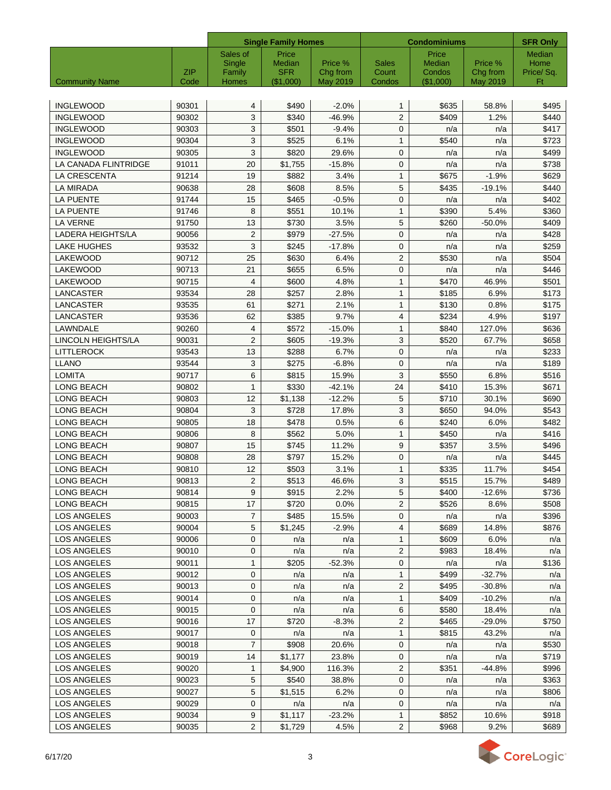|                       |             |                 | <b>Single Family Homes</b> |                      |                 | <b>Condominiums</b> |                      |                 |  |
|-----------------------|-------------|-----------------|----------------------------|----------------------|-----------------|---------------------|----------------------|-----------------|--|
|                       |             | Sales of        | Price                      |                      |                 | Price               |                      | Median          |  |
|                       |             | Single          | Median                     | Price %              | <b>Sales</b>    | Median              | Price %              | Home            |  |
| <b>Community Name</b> | ZIP<br>Code | Family<br>Homes | <b>SFR</b><br>(\$1,000)    | Chg from<br>May 2019 | Count<br>Condos | Condos<br>(\$1,000) | Chg from<br>May 2019 | Price/Sq.<br>Ft |  |
|                       |             |                 |                            |                      |                 |                     |                      |                 |  |
| <b>INGLEWOOD</b>      | 90301       | 4               | \$490                      | $-2.0%$              | $\mathbf{1}$    | \$635               | 58.8%                | \$495           |  |
| <b>INGLEWOOD</b>      | 90302       | 3               | \$340                      | $-46.9%$             | $\overline{2}$  | \$409               | 1.2%                 | \$440           |  |
| <b>INGLEWOOD</b>      | 90303       | 3               | \$501                      | $-9.4%$              | $\mathbf{0}$    | n/a                 | n/a                  | \$417           |  |
| <b>INGLEWOOD</b>      | 90304       | 3               | \$525                      | 6.1%                 | $\mathbf{1}$    | \$540               | n/a                  | \$723           |  |
| <b>INGLEWOOD</b>      | 90305       | 3               | \$820                      | 29.6%                | $\mathbf{0}$    | n/a                 | n/a                  | \$499           |  |
| LA CANADA FLINTRIDGE  | 91011       | 20              | \$1,755                    | $-15.8%$             | $\mathbf{0}$    | n/a                 | n/a                  | \$738           |  |
| LA CRESCENTA          | 91214       | 19              | \$882                      | 3.4%                 | $\mathbf{1}$    | \$675               | $-1.9%$              | \$629           |  |
| <b>LA MIRADA</b>      | 90638       | 28              | \$608                      | 8.5%                 | 5               | \$435               | $-19.1%$             | \$440           |  |
| <b>LA PUENTE</b>      | 91744       | 15              | \$465                      | $-0.5%$              | $\mathbf{0}$    | n/a                 | n/a                  | \$402           |  |
| <b>LA PUENTE</b>      | 91746       | 8               | \$551                      | 10.1%                | $\mathbf{1}$    | \$390               | 5.4%                 | \$360           |  |
| <b>LA VERNE</b>       | 91750       | 13              | \$730                      | 3.5%                 | 5               | \$260               | $-50.0%$             | \$409           |  |
| LADERA HEIGHTS/LA     | 90056       | $\overline{2}$  | \$979                      | $-27.5%$             | $\mathbf 0$     | n/a                 | n/a                  | \$428           |  |
| <b>LAKE HUGHES</b>    | 93532       | 3               | \$245                      | $-17.8%$             | $\mathbf 0$     | n/a                 | n/a                  | \$259           |  |
| LAKEWOOD              | 90712       | 25              | \$630                      | 6.4%                 | $\overline{2}$  | \$530               | n/a                  | \$504           |  |
| LAKEWOOD              | 90713       | 21              | \$655                      | 6.5%                 | $\mathbf 0$     | n/a                 | n/a                  | \$446           |  |
| <b>LAKEWOOD</b>       | 90715       | 4               | \$600                      | 4.8%                 | $\mathbf{1}$    | \$470               | 46.9%                | \$501           |  |
| LANCASTER             | 93534       | 28              | \$257                      | 2.8%                 | $\mathbf{1}$    | \$185               | 6.9%                 | \$173           |  |
| LANCASTER             | 93535       | 61              | \$271                      | 2.1%                 | $\mathbf{1}$    | \$130               | 0.8%                 | \$175           |  |
| LANCASTER             | 93536       | 62              | \$385                      | 9.7%                 | $\overline{4}$  | \$234               | 4.9%                 | \$197           |  |
| LAWNDALE              | 90260       | 4               | \$572                      | $-15.0%$             | $\mathbf{1}$    | \$840               | 127.0%               | \$636           |  |
| LINCOLN HEIGHTS/LA    | 90031       | $\overline{2}$  | \$605                      | $-19.3%$             | 3               | \$520               | 67.7%                | \$658           |  |
| <b>LITTLEROCK</b>     | 93543       | 13              | \$288                      | 6.7%                 | 0               |                     | n/a                  | \$233           |  |
| <b>LLANO</b>          | 93544       | 3               | \$275                      | $-6.8%$              | 0               | n/a<br>n/a          | n/a                  | \$189           |  |
| <b>LOMITA</b>         | 90717       | 6               | \$815                      | 15.9%                | 3               | \$550               | 6.8%                 | \$516           |  |
| LONG BEACH            | 90802       | $\mathbf{1}$    | \$330                      | $-42.1%$             | 24              | \$410               | 15.3%                | \$671           |  |
| LONG BEACH            | 90803       | 12              | \$1,138                    | $-12.2%$             | 5               | \$710               | 30.1%                | \$690           |  |
| LONG BEACH            | 90804       | 3               | \$728                      | 17.8%                | 3               | \$650               | 94.0%                | \$543           |  |
| LONG BEACH            | 90805       | 18              | \$478                      |                      |                 | \$240               |                      |                 |  |
|                       |             |                 |                            | 0.5%                 | 6               |                     | 6.0%                 | \$482           |  |
| <b>LONG BEACH</b>     | 90806       | 8               | \$562                      | 5.0%                 | $\mathbf{1}$    | \$450               | n/a                  | \$416           |  |
| <b>LONG BEACH</b>     | 90807       | 15              | \$745                      | 11.2%                | 9               | \$357               | 3.5%                 | \$496           |  |
| <b>LONG BEACH</b>     | 90808       | 28              | \$797                      | 15.2%                | $\mathbf 0$     | n/a                 | n/a                  | \$445           |  |
| LONG BEACH            | 90810       | 12              | \$503                      | 3.1%                 | $\mathbf{1}$    | \$335               | 11.7%                | \$454           |  |
| LONG BEACH            | 90813       | $\overline{c}$  | \$513                      | 46.6%                | $\mathbf{3}$    | \$515               | 15.7%                | \$489           |  |
| LONG BEACH            | 90814       | 9               | \$915                      | 2.2%                 | 5               | \$400               | -12.6%               | \$736           |  |
| LONG BEACH            | 90815       | 17              | \$720                      | 0.0%                 | $\overline{2}$  | \$526               | 8.6%                 | \$508           |  |
| LOS ANGELES           | 90003       | $\overline{7}$  | \$485                      | 15.5%                | 0               | n/a                 | n/a                  | \$396           |  |
| LOS ANGELES           | 90004       | 5               | \$1,245                    | $-2.9%$              | 4               | \$689               | 14.8%                | \$876           |  |
| <b>LOS ANGELES</b>    | 90006       | 0               | n/a                        | n/a                  | $\mathbf{1}$    | \$609               | 6.0%                 | n/a             |  |
| LOS ANGELES           | 90010       | 0               | n/a                        | n/a                  | 2               | \$983               | 18.4%                | n/a             |  |
| LOS ANGELES           | 90011       | 1               | \$205                      | $-52.3%$             | 0               | n/a                 | n/a                  | \$136           |  |
| LOS ANGELES           | 90012       | 0               | n/a                        | n/a                  | $\mathbf{1}$    | \$499               | $-32.7%$             | n/a             |  |
| LOS ANGELES           | 90013       | 0               | n/a                        | n/a                  | $\overline{2}$  | \$495               | $-30.8%$             | n/a             |  |
| <b>LOS ANGELES</b>    | 90014       | 0               | n/a                        | n/a                  | $\mathbf{1}$    | \$409               | $-10.2%$             | n/a             |  |
| LOS ANGELES           | 90015       | 0               | n/a                        | n/a                  | 6               | \$580               | 18.4%                | n/a             |  |
| LOS ANGELES           | 90016       | 17              | \$720                      | $-8.3%$              | $\overline{2}$  | \$465               | $-29.0%$             | \$750           |  |
| LOS ANGELES           | 90017       | 0               | n/a                        | n/a                  | $\mathbf{1}$    | \$815               | 43.2%                | n/a             |  |
| LOS ANGELES           | 90018       | $\overline{7}$  | \$908                      | 20.6%                | 0               | n/a                 | n/a                  | \$530           |  |
| LOS ANGELES           | 90019       | 14              | \$1,177                    | 23.8%                | 0               | n/a                 | n/a                  | \$719           |  |
| LOS ANGELES           | 90020       | 1               | \$4,900                    | 116.3%               | $\overline{2}$  | \$351               | -44.8%               | \$996           |  |
| LOS ANGELES           | 90023       | 5               | \$540                      | 38.8%                | 0               | n/a                 | n/a                  | \$363           |  |
| LOS ANGELES           | 90027       | 5               | \$1,515                    | 6.2%                 | $\mathbf 0$     | n/a                 | n/a                  | \$806           |  |
| LOS ANGELES           | 90029       | 0               | n/a                        | n/a                  | 0               | n/a                 | n/a                  | n/a             |  |
| LOS ANGELES           | 90034       | 9               | \$1,117                    | $-23.2%$             | $\mathbf{1}$    | \$852               | 10.6%                | \$918           |  |
| LOS ANGELES           | 90035       | $\overline{2}$  | \$1,729                    | 4.5%                 | $\overline{2}$  | \$968               | 9.2%                 | \$689           |  |

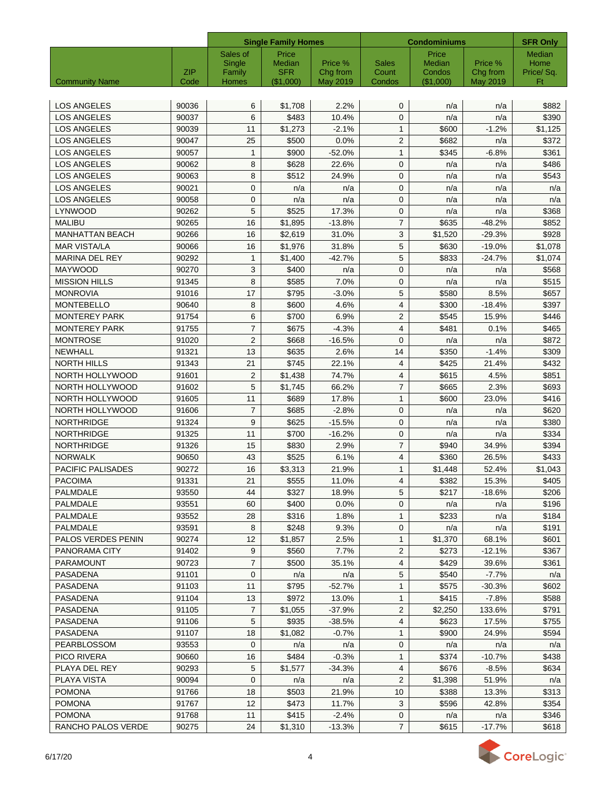|                        |                    | <b>Single Family Homes</b> |                         |                      | <b>Condominiums</b> | <b>SFR Only</b>     |                      |                 |
|------------------------|--------------------|----------------------------|-------------------------|----------------------|---------------------|---------------------|----------------------|-----------------|
|                        |                    | Sales of                   | Price                   |                      |                     | Price               |                      | <b>Median</b>   |
|                        |                    | Single                     | <b>Median</b>           | Price %              | <b>Sales</b>        | Median              | Price %              | Home            |
| <b>Community Name</b>  | <b>ZIP</b><br>Code | Family<br>Homes            | <b>SFR</b><br>(\$1,000) | Chg from<br>May 2019 | Count<br>Condos     | Condos<br>(\$1,000) | Chg from<br>May 2019 | Price/Sq.<br>Ft |
|                        |                    |                            |                         |                      |                     |                     |                      |                 |
| <b>LOS ANGELES</b>     | 90036              | 6                          | \$1,708                 | 2.2%                 | $\mathbf{0}$        | n/a                 | n/a                  | \$882           |
| <b>LOS ANGELES</b>     | 90037              | 6                          | \$483                   | 10.4%                | $\mathbf{0}$        | n/a                 | n/a                  | \$390           |
| <b>LOS ANGELES</b>     | 90039              | 11                         | \$1,273                 | $-2.1%$              | $\mathbf{1}$        | \$600               | $-1.2%$              | \$1,125         |
| <b>LOS ANGELES</b>     | 90047              | 25                         | \$500                   | 0.0%                 | $\overline{2}$      | \$682               | n/a                  | \$372           |
| <b>LOS ANGELES</b>     | 90057              | 1                          | \$900                   | $-52.0%$             | $\mathbf{1}$        | \$345               | $-6.8%$              | \$361           |
| <b>LOS ANGELES</b>     | 90062              | 8                          | \$628                   | 22.6%                | $\mathbf{0}$        | n/a                 | n/a                  | \$486           |
| <b>LOS ANGELES</b>     | 90063              | 8                          | \$512                   | 24.9%                | $\mathbf{0}$        | n/a                 | n/a                  | \$543           |
| <b>LOS ANGELES</b>     | 90021              | 0                          | n/a                     | n/a                  | $\mathbf{0}$        | n/a                 | n/a                  | n/a             |
| <b>LOS ANGELES</b>     | 90058              | 0                          | n/a                     | n/a                  | $\mathbf{0}$        | n/a                 | n/a                  | n/a             |
| LYNWOOD                | 90262              | 5                          | \$525                   | 17.3%                | $\mathbf{0}$        | n/a                 | n/a                  | \$368           |
| <b>MALIBU</b>          | 90265              | 16                         | \$1,895                 | $-13.8%$             | $\overline{7}$      | \$635               | $-48.2%$             | \$852           |
| <b>MANHATTAN BEACH</b> | 90266              | 16                         | \$2,619                 | 31.0%                | 3                   | \$1,520             | $-29.3%$             | \$928           |
| <b>MAR VISTA/LA</b>    | 90066              | 16                         | \$1,976                 | 31.8%                | 5                   | \$630               | $-19.0%$             | \$1,078         |
| <b>MARINA DEL REY</b>  | 90292              | 1                          | \$1,400                 | $-42.7%$             | 5                   | \$833               | $-24.7%$             | \$1,074         |
| <b>MAYWOOD</b>         | 90270              | 3                          | \$400                   | n/a                  | $\mathbf{0}$        | n/a                 | n/a                  | \$568           |
| <b>MISSION HILLS</b>   | 91345              | 8                          | \$585                   | 7.0%                 | $\mathbf 0$         | n/a                 | n/a                  | \$515           |
| <b>MONROVIA</b>        | 91016              | 17                         | \$795                   | $-3.0%$              | 5                   | \$580               | 8.5%                 | \$657           |
| <b>MONTEBELLO</b>      | 90640              | 8                          |                         | 4.6%                 | $\overline{4}$      | \$300               | $-18.4%$             | \$397           |
|                        |                    |                            | \$600                   |                      |                     |                     |                      |                 |
| <b>MONTEREY PARK</b>   | 91754              | 6                          | \$700                   | 6.9%                 | 2                   | \$545               | 15.9%                | \$446           |
| <b>MONTEREY PARK</b>   | 91755              | 7                          | \$675                   | $-4.3%$              | $\overline{4}$      | \$481               | 0.1%                 | \$465           |
| <b>MONTROSE</b>        | 91020              | 2                          | \$668                   | $-16.5%$             | $\mathbf{0}$        | n/a                 | n/a                  | \$872           |
| NEWHALL                | 91321              | 13                         | \$635                   | 2.6%                 | 14                  | \$350               | $-1.4%$              | \$309           |
| <b>NORTH HILLS</b>     | 91343              | 21                         | \$745                   | 22.1%                | $\overline{4}$      | \$425               | 21.4%                | \$432           |
| NORTH HOLLYWOOD        | 91601              | 2                          | \$1,438                 | 74.7%                | $\overline{4}$      | \$615               | 4.5%                 | \$851           |
| NORTH HOLLYWOOD        | 91602              | 5                          | \$1,745                 | 66.2%                | $\overline{7}$      | \$665               | 2.3%                 | \$693           |
| NORTH HOLLYWOOD        | 91605              | 11                         | \$689                   | 17.8%                | $\mathbf{1}$        | \$600               | 23.0%                | \$416           |
| NORTH HOLLYWOOD        | 91606              | 7                          | \$685                   | $-2.8%$              | $\mathbf 0$         | n/a                 | n/a                  | \$620           |
| <b>NORTHRIDGE</b>      | 91324              | 9                          | \$625                   | $-15.5%$             | $\mathbf{0}$        | n/a                 | n/a                  | \$380           |
| <b>NORTHRIDGE</b>      | 91325              | 11                         | \$700                   | $-16.2%$             | $\mathbf{0}$        | n/a                 | n/a                  | \$334           |
| <b>NORTHRIDGE</b>      | 91326              | 15                         | \$830                   | 2.9%                 | $\overline{7}$      | \$940               | 34.9%                | \$394           |
| <b>NORWALK</b>         | 90650              | 43                         | \$525                   | 6.1%                 | $\overline{4}$      | \$360               | 26.5%                | \$433           |
| PACIFIC PALISADES      | 90272              | 16                         | \$3,313                 | 21.9%                | $\mathbf{1}$        | \$1,448             | 52.4%                | \$1,043         |
| <b>PACOIMA</b>         | 91331              | 21                         | \$555                   | 11.0%                | $\overline{4}$      | \$382               | 15.3%                | \$405           |
| PALMDALE               | 93550              | 44                         | \$327                   | 18.9%                | 5                   | \$217               | $-18.6%$             | \$206           |
| PALMDALE               | 93551              | 60                         | \$400                   | 0.0%                 | 0                   | n/a                 | n/a                  | \$196           |
| <b>PALMDALE</b>        | 93552              | 28                         | \$316                   | 1.8%                 | $\mathbf{1}$        | \$233               | n/a                  | \$184           |
| PALMDALE               | 93591              | 8                          | \$248                   | 9.3%                 | 0                   | n/a                 | n/a                  | \$191           |
| PALOS VERDES PENIN     | 90274              | 12                         | \$1,857                 | 2.5%                 | 1                   | \$1,370             | 68.1%                | \$601           |
| PANORAMA CITY          | 91402              | 9                          | \$560                   | 7.7%                 | 2                   | \$273               | $-12.1%$             | \$367           |
| <b>PARAMOUNT</b>       | 90723              | 7                          | \$500                   | 35.1%                | 4                   | \$429               | 39.6%                | \$361           |
| <b>PASADENA</b>        | 91101              | 0                          | n/a                     | n/a                  | 5                   | \$540               | $-7.7%$              | n/a             |
| PASADENA               | 91103              | 11                         | \$795                   | $-52.7%$             | 1                   | \$575               | $-30.3%$             | \$602           |
| PASADENA               | 91104              | 13                         | \$972                   | 13.0%                | 1                   | \$415               | $-7.8%$              | \$588           |
| PASADENA               | 91105              | 7                          | \$1,055                 | $-37.9%$             | $\overline{2}$      | \$2,250             | 133.6%               | \$791           |
| <b>PASADENA</b>        | 91106              | 5                          | \$935                   | $-38.5%$             | 4                   | \$623               | 17.5%                | \$755           |
| PASADENA               | 91107              | 18                         | \$1,082                 | $-0.7%$              | $\mathbf{1}$        | \$900               | 24.9%                | \$594           |
| PEARBLOSSOM            | 93553              | $\mathbf{0}$               | n/a                     | n/a                  | 0                   | n/a                 | n/a                  | n/a             |
| <b>PICO RIVERA</b>     | 90660              | 16                         | \$484                   | $-0.3%$              | 1                   | \$374               | $-10.7%$             | \$438           |
| PLAYA DEL REY          | 90293              | 5                          | \$1,577                 | $-34.3%$             | 4                   | \$676               | $-8.5%$              | \$634           |
| PLAYA VISTA            | 90094              | 0                          | n/a                     | n/a                  | 2                   | \$1,398             | 51.9%                | n/a             |
| <b>POMONA</b>          | 91766              | 18                         | \$503                   | 21.9%                | 10                  | \$388               | 13.3%                | \$313           |
| <b>POMONA</b>          | 91767              | 12                         | \$473                   | 11.7%                | 3                   | \$596               | 42.8%                | \$354           |
| <b>POMONA</b>          | 91768              | 11                         | \$415                   | $-2.4%$              | $\mathbf 0$         | n/a                 | n/a                  | \$346           |
| RANCHO PALOS VERDE     | 90275              | 24                         | \$1,310                 | $-13.3%$             | $\overline{7}$      | \$615               | $-17.7%$             | \$618           |

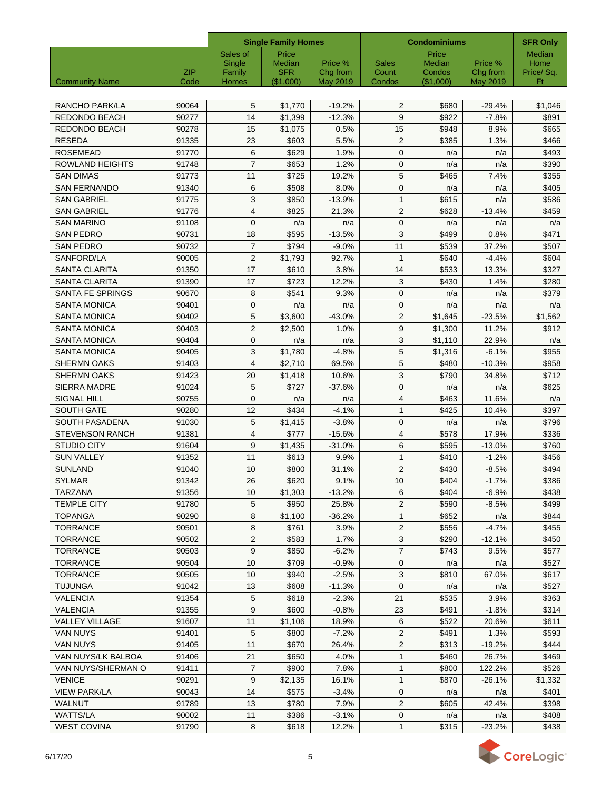|                         |             |                 | <b>Single Family Homes</b> |                      |                 | <b>Condominiums</b> |                      |                  |  |
|-------------------------|-------------|-----------------|----------------------------|----------------------|-----------------|---------------------|----------------------|------------------|--|
|                         |             | Sales of        | Price                      |                      |                 | Price               |                      | Median           |  |
|                         |             | Single          | Median                     | Price %              | <b>Sales</b>    | Median              | Price %              | Home             |  |
| <b>Community Name</b>   | ZIP<br>Code | Family<br>Homes | <b>SFR</b><br>(\$1,000)    | Chg from<br>May 2019 | Count<br>Condos | Condos<br>(\$1,000) | Chg from<br>May 2019 | Price/ Sq.<br>Ft |  |
|                         |             |                 |                            |                      |                 |                     |                      |                  |  |
| RANCHO PARK/LA          | 90064       | 5               | \$1,770                    | $-19.2%$             | 2               | \$680               | $-29.4%$             | \$1,046          |  |
| REDONDO BEACH           | 90277       | 14              | \$1,399                    | $-12.3%$             | 9               | \$922               | $-7.8%$              | \$891            |  |
| REDONDO BEACH           | 90278       | 15              | \$1,075                    | 0.5%                 | 15              | \$948               | 8.9%                 | \$665            |  |
| <b>RESEDA</b>           | 91335       | 23              | \$603                      | 5.5%                 | $\overline{2}$  | \$385               | 1.3%                 | \$466            |  |
| <b>ROSEMEAD</b>         | 91770       | 6               | \$629                      | 1.9%                 | $\mathbf{0}$    | n/a                 | n/a                  | \$493            |  |
| ROWLAND HEIGHTS         | 91748       | $\overline{7}$  | \$653                      | 1.2%                 | $\mathbf{0}$    | n/a                 | n/a                  | \$390            |  |
| <b>SAN DIMAS</b>        | 91773       | 11              | \$725                      | 19.2%                | 5               | \$465               | 7.4%                 | \$355            |  |
| <b>SAN FERNANDO</b>     | 91340       | 6               | \$508                      | 8.0%                 | $\mathbf{0}$    | n/a                 | n/a                  | \$405            |  |
| <b>SAN GABRIEL</b>      | 91775       | 3               | \$850                      | $-13.9%$             | $\mathbf{1}$    | \$615               | n/a                  | \$586            |  |
| <b>SAN GABRIEL</b>      | 91776       | 4               | \$825                      | 21.3%                | 2               | \$628               | $-13.4%$             | \$459            |  |
| <b>SAN MARINO</b>       | 91108       | 0               | n/a                        | n/a                  | $\mathbf{0}$    | n/a                 | n/a                  | n/a              |  |
| <b>SAN PEDRO</b>        | 90731       | 18              | \$595                      | $-13.5%$             | 3               | \$499               | 0.8%                 | \$471            |  |
| <b>SAN PEDRO</b>        | 90732       | $\overline{7}$  | \$794                      | $-9.0%$              | 11              | \$539               | 37.2%                | \$507            |  |
| SANFORD/LA              | 90005       | $\overline{2}$  | \$1,793                    | 92.7%                | $\mathbf{1}$    | \$640               | $-4.4%$              | \$604            |  |
| <b>SANTA CLARITA</b>    | 91350       | 17              | \$610                      | 3.8%                 | 14              | \$533               | 13.3%                | \$327            |  |
| <b>SANTA CLARITA</b>    | 91390       | 17              | \$723                      | 12.2%                | 3               | \$430               | 1.4%                 | \$280            |  |
| <b>SANTA FE SPRINGS</b> | 90670       | 8               | \$541                      | 9.3%                 | $\mathbf 0$     | n/a                 | n/a                  | \$379            |  |
| <b>SANTA MONICA</b>     | 90401       | $\mathbf{0}$    | n/a                        | n/a                  | 0               | n/a                 | n/a                  | n/a              |  |
| <b>SANTA MONICA</b>     | 90402       | 5               | \$3,600                    | $-43.0%$             | 2               | \$1,645             | $-23.5%$             | \$1,562          |  |
| <b>SANTA MONICA</b>     | 90403       | $\overline{2}$  | \$2,500                    | 1.0%                 | 9               | \$1,300             | 11.2%                | \$912            |  |
| <b>SANTA MONICA</b>     | 90404       | $\mathbf{0}$    | n/a                        | n/a                  | 3               | \$1,110             | 22.9%                | n/a              |  |
| <b>SANTA MONICA</b>     | 90405       | 3               | \$1,780                    | $-4.8%$              | 5               | \$1,316             | $-6.1%$              | \$955            |  |
| <b>SHERMN OAKS</b>      | 91403       | 4               | \$2,710                    | 69.5%                | 5               | \$480               | $-10.3%$             | \$958            |  |
| <b>SHERMN OAKS</b>      | 91423       | 20              | \$1,418                    | 10.6%                | 3               | \$790               | 34.8%                | \$712            |  |
| <b>SIERRA MADRE</b>     | 91024       | 5               | \$727                      | $-37.6%$             | $\mathbf{0}$    | n/a                 | n/a                  | \$625            |  |
| <b>SIGNAL HILL</b>      | 90755       | $\mathbf{0}$    | n/a                        | n/a                  | $\overline{4}$  | \$463               | 11.6%                | n/a              |  |
| <b>SOUTH GATE</b>       | 90280       | 12              | \$434                      | $-4.1%$              | $\mathbf{1}$    | \$425               | 10.4%                | \$397            |  |
| SOUTH PASADENA          | 91030       | 5               | \$1,415                    | $-3.8%$              | $\mathbf{0}$    | n/a                 | n/a                  | \$796            |  |
| <b>STEVENSON RANCH</b>  | 91381       | $\overline{4}$  | \$777                      | $-15.6%$             | $\overline{4}$  | \$578               | 17.9%                | \$336            |  |
| <b>STUDIO CITY</b>      | 91604       | 9               | \$1,435                    | $-31.0%$             | 6               | \$595               | $-13.0%$             | \$760            |  |
| <b>SUN VALLEY</b>       | 91352       | 11              | \$613                      | 9.9%                 | $\mathbf{1}$    | \$410               | $-1.2%$              | \$456            |  |
| <b>SUNLAND</b>          | 91040       | 10              | \$800                      | 31.1%                | $\mathbf{2}$    | \$430               | $-8.5%$              | \$494            |  |
| <b>SYLMAR</b>           | 91342       | $\overline{26}$ | \$620                      | 9.1%                 | 10              | \$404               | $-1.7%$              | \$386            |  |
| TARZANA                 | 91356       | 10              | \$1,303                    | $-13.2%$             | 6               | \$404               | $-6.9%$              | \$438            |  |
| TEMPLE CITY             | 91780       | 5               | \$950                      | 25.8%                | 2               | \$590               | $-8.5%$              | \$499            |  |
| <b>TOPANGA</b>          | 90290       | 8               | \$1,100                    | $-36.2%$             | $\mathbf{1}$    | \$652               | n/a                  | \$844            |  |
| <b>TORRANCE</b>         | 90501       | 8               | \$761                      | 3.9%                 | 2               | \$556               | $-4.7%$              | \$455            |  |
| <b>TORRANCE</b>         | 90502       | $\overline{c}$  | \$583                      | 1.7%                 | 3               | \$290               | $-12.1%$             | \$450            |  |
| <b>TORRANCE</b>         | 90503       | 9               | \$850                      | $-6.2%$              | $\overline{7}$  | \$743               | 9.5%                 | \$577            |  |
| <b>TORRANCE</b>         | 90504       | 10              | \$709                      | $-0.9%$              | 0               | n/a                 | n/a                  | \$527            |  |
| <b>TORRANCE</b>         | 90505       | 10              | \$940                      | $-2.5%$              | $\mathbf{3}$    | \$810               | 67.0%                | \$617            |  |
| <b>TUJUNGA</b>          | 91042       | 13              | \$608                      | $-11.3%$             | 0               | n/a                 | n/a                  | \$527            |  |
| <b>VALENCIA</b>         | 91354       | 5               | \$618                      | $-2.3%$              | 21              | \$535               | 3.9%                 | \$363            |  |
| VALENCIA                | 91355       | 9               | \$600                      | $-0.8%$              | 23              | \$491               | $-1.8%$              | \$314            |  |
| <b>VALLEY VILLAGE</b>   | 91607       | 11              | \$1,106                    | 18.9%                | 6               | \$522               | 20.6%                | \$611            |  |
| VAN NUYS                | 91401       | 5               | \$800                      | $-7.2%$              | $\mathbf{2}$    | \$491               | 1.3%                 | \$593            |  |
| VAN NUYS                | 91405       | 11              | \$670                      | 26.4%                | $\overline{2}$  | \$313               | $-19.2%$             | \$444            |  |
| VAN NUYS/LK BALBOA      | 91406       | 21              | \$650                      | 4.0%                 | $\mathbf{1}$    | \$460               | 26.7%                | \$469            |  |
| VAN NUYS/SHERMAN O      | 91411       | $\overline{7}$  | \$900                      | 7.8%                 | $\mathbf{1}$    | \$800               | 122.2%               | \$526            |  |
| <b>VENICE</b>           | 90291       | 9               | \$2,135                    | 16.1%                | $\mathbf{1}$    | \$870               | -26.1%               | \$1,332          |  |
| <b>VIEW PARK/LA</b>     | 90043       | 14              | \$575                      | $-3.4%$              | 0               | n/a                 | n/a                  | \$401            |  |
| WALNUT                  | 91789       | 13              | \$780                      | 7.9%                 | $\mathbf{2}$    | \$605               | 42.4%                | \$398            |  |
| <b>WATTS/LA</b>         | 90002       | 11              | \$386                      | $-3.1%$              | $\mathbf 0$     | n/a                 | n/a                  | \$408            |  |
| <b>WEST COVINA</b>      | 91790       | 8               | \$618                      | 12.2%                | $\mathbf{1}$    | \$315               | $-23.2%$             | \$438            |  |
|                         |             |                 |                            |                      |                 |                     |                      |                  |  |

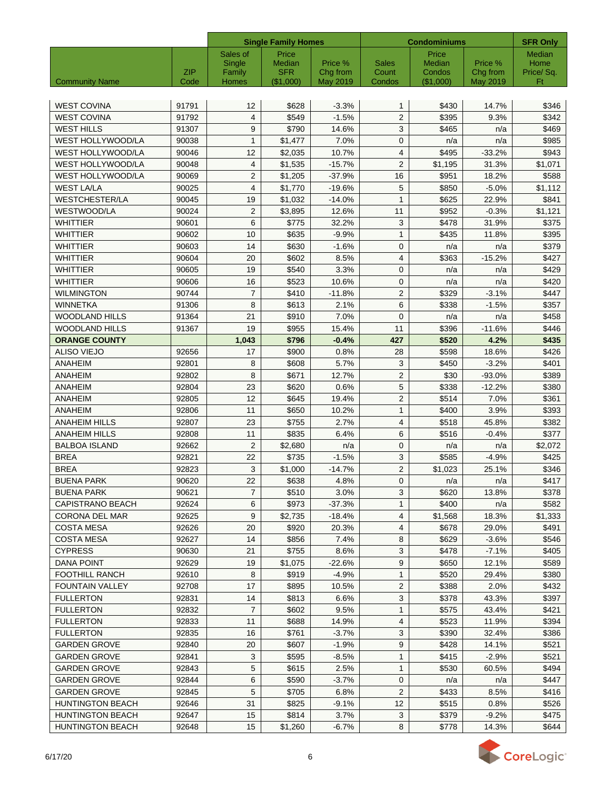|                         |            | <b>Single Family Homes</b> |                      |                     | <b>Condominiums</b>   | <b>SFR Only</b>  |                     |                   |
|-------------------------|------------|----------------------------|----------------------|---------------------|-----------------------|------------------|---------------------|-------------------|
|                         |            | Sales of                   | Price                |                     |                       | Price            |                     | Median            |
|                         | <b>ZIP</b> | Single<br>Family           | Median<br><b>SFR</b> | Price %<br>Chg from | <b>Sales</b><br>Count | Median<br>Condos | Price %<br>Chg from | Home<br>Price/Sq. |
| <b>Community Name</b>   | Code       | Homes                      | (\$1,000)            | May 2019            | Condos                | (\$1,000)        | May 2019            | Ft                |
|                         |            |                            |                      |                     |                       |                  |                     |                   |
| <b>WEST COVINA</b>      | 91791      | 12                         | \$628                | $-3.3%$             | $\mathbf{1}$          | \$430            | 14.7%               | \$346             |
| <b>WEST COVINA</b>      | 91792      | 4                          | \$549                | $-1.5%$             | $\mathbf{2}$          | \$395            | 9.3%                | \$342             |
| <b>WEST HILLS</b>       | 91307      | 9                          | \$790                | 14.6%               | 3                     | \$465            | n/a                 | \$469             |
| WEST HOLLYWOOD/LA       | 90038      | $\mathbf{1}$               | \$1,477              | 7.0%                | $\mathbf{0}$          | n/a              | n/a                 | \$985             |
| WEST HOLLYWOOD/LA       | 90046      | 12                         | \$2,035              | 10.7%               | $\overline{4}$        | \$495            | $-33.2%$            | \$943             |
| WEST HOLLYWOOD/LA       | 90048      | $\overline{4}$             | \$1,535              | $-15.7%$            | $\overline{2}$        | \$1,195          | 31.3%               | \$1,071           |
| WEST HOLLYWOOD/LA       | 90069      | $\overline{2}$             | \$1,205              | $-37.9%$            | 16                    | \$951            | 18.2%               | \$588             |
| WEST LA/LA              | 90025      | $\overline{4}$             | \$1,770              | $-19.6%$            | 5                     | \$850            | $-5.0%$             | \$1,112           |
| WESTCHESTER/LA          | 90045      | 19                         | \$1,032              | $-14.0%$            | $\mathbf{1}$          | \$625            | 22.9%               | \$841             |
| WESTWOOD/LA             | 90024      | $\overline{2}$             | \$3,895              | 12.6%               | 11                    | \$952            | $-0.3%$             | \$1,121           |
| <b>WHITTIER</b>         | 90601      | 6                          | \$775                | 32.2%               | 3                     | \$478            | 31.9%               | \$375             |
| <b>WHITTIER</b>         | 90602      | 10                         | \$635                | $-9.9%$             | $\mathbf{1}$          | \$435            | 11.8%               | \$395             |
| <b>WHITTIER</b>         | 90603      | 14                         | \$630                | $-1.6%$             | $\mathbf 0$           | n/a              | n/a                 | \$379             |
| <b>WHITTIER</b>         | 90604      | 20                         | \$602                | 8.5%                | $\overline{4}$        | \$363            | $-15.2%$            | \$427             |
| <b>WHITTIER</b>         | 90605      | 19                         | \$540                | 3.3%                | $\mathbf{0}$          | n/a              | n/a                 | \$429             |
| <b>WHITTIER</b>         | 90606      | 16                         | \$523                | 10.6%               | $\mathbf 0$           | n/a              | n/a                 | \$420             |
| <b>WILMINGTON</b>       | 90744      | $\overline{7}$             | \$410                | $-11.8%$            | 2                     | \$329            | $-3.1%$             | \$447             |
| <b>WINNETKA</b>         | 91306      | 8                          | \$613                | 2.1%                | 6                     | \$338            | $-1.5%$             | \$357             |
| <b>WOODLAND HILLS</b>   | 91364      | 21                         | \$910                | 7.0%                | $\mathbf{0}$          | n/a              | n/a                 | \$458             |
| <b>WOODLAND HILLS</b>   | 91367      | 19                         | \$955                | 15.4%               | 11                    | \$396            | $-11.6%$            | \$446             |
| <b>ORANGE COUNTY</b>    |            | 1,043                      | \$796                | $-0.4%$             | 427                   | \$520            | 4.2%                | \$435             |
| <b>ALISO VIEJO</b>      | 92656      | 17                         | \$900                | 0.8%                | 28                    | \$598            | 18.6%               | \$426             |
| <b>ANAHEIM</b>          | 92801      | 8                          | \$608                | 5.7%                | 3                     | \$450            | $-3.2%$             | \$401             |
| <b>ANAHEIM</b>          | 92802      | 8                          | \$671                | 12.7%               | $\overline{2}$        | \$30             | $-93.0%$            | \$389             |
| <b>ANAHEIM</b>          | 92804      | 23                         | \$620                | 0.6%                | 5                     | \$338            | $-12.2%$            | \$380             |
| ANAHEIM                 | 92805      | 12                         | \$645                | 19.4%               | $\mathbf{2}$          | \$514            | 7.0%                | \$361             |
| <b>ANAHEIM</b>          | 92806      | 11                         | \$650                | 10.2%               | $\mathbf{1}$          | \$400            | 3.9%                | \$393             |
| ANAHEIM HILLS           | 92807      | 23                         | \$755                | 2.7%                | $\overline{4}$        | \$518            | 45.8%               | \$382             |
| ANAHEIM HILLS           | 92808      | 11                         | \$835                | 6.4%                | 6                     | \$516            | $-0.4%$             | \$377             |
| <b>BALBOA ISLAND</b>    | 92662      | $\overline{2}$             | \$2,680              | n/a                 | $\mathbf 0$           | n/a              | n/a                 | \$2,072           |
| <b>BREA</b>             | 92821      | 22                         | \$735                | $-1.5%$             | 3                     | \$585            | $-4.9%$             | \$425             |
| <b>BREA</b>             | 92823      | 3                          | \$1,000              | $-14.7%$            | $\overline{2}$        | \$1,023          | 25.1%               | \$346             |
| <b>BUENA PARK</b>       | 90620      | $\overline{22}$            | \$638                | 4.8%                | $\mathsf{O}\xspace$   | n/a              | n/a                 | \$417             |
| BUENA PARK              | 90621      | $\overline{7}$             | \$510                | 3.0%                | 3                     | \$620            | 13.8%               | \$378             |
| <b>CAPISTRANO BEACH</b> | 92624      | 6                          | \$973                | $-37.3%$            | $\mathbf{1}$          | \$400            | n/a                 | \$582             |
| CORONA DEL MAR          | 92625      | 9                          | \$2,735              | $-18.4%$            | $\overline{4}$        | \$1,568          | 18.3%               | \$1,333           |
| <b>COSTA MESA</b>       | 92626      | 20                         | \$920                | 20.3%               | 4                     | \$678            | 29.0%               | \$491             |
| <b>COSTA MESA</b>       | 92627      | 14                         | \$856                | 7.4%                | 8                     | \$629            | $-3.6%$             | \$546             |
| <b>CYPRESS</b>          | 90630      | 21                         | \$755                | 8.6%                | 3                     | \$478            | $-7.1%$             | \$405             |
| DANA POINT              | 92629      | 19                         | \$1,075              | $-22.6%$            | 9                     | \$650            | 12.1%               | \$589             |
| <b>FOOTHILL RANCH</b>   | 92610      | 8                          | \$919                | $-4.9%$             | $\mathbf{1}$          | \$520            | 29.4%               | \$380             |
| FOUNTAIN VALLEY         | 92708      | 17                         | \$895                | 10.5%               | $\overline{2}$        | \$388            | 2.0%                | \$432             |
| <b>FULLERTON</b>        | 92831      | 14                         | \$813                | 6.6%                | 3                     | \$378            | 43.3%               | \$397             |
| <b>FULLERTON</b>        | 92832      | 7                          | \$602                | 9.5%                | $\mathbf{1}$          | \$575            | 43.4%               | \$421             |
| <b>FULLERTON</b>        | 92833      | 11                         | \$688                | 14.9%               | 4                     | \$523            | 11.9%               | \$394             |
| <b>FULLERTON</b>        | 92835      | 16                         | \$761                | $-3.7%$             | 3                     | \$390            | 32.4%               | \$386             |
| <b>GARDEN GROVE</b>     | 92840      | 20                         | \$607                | $-1.9%$             | 9                     | \$428            | 14.1%               | \$521             |
| <b>GARDEN GROVE</b>     | 92841      | 3                          | \$595                | $-8.5\%$            | $\mathbf{1}$          | \$415            | $-2.9%$             | \$521             |
| <b>GARDEN GROVE</b>     | 92843      | 5                          | \$615                | 2.5%                | $\mathbf{1}$          | \$530            | 60.5%               | \$494             |
| <b>GARDEN GROVE</b>     | 92844      | 6                          | \$590                | $-3.7%$             | 0                     | n/a              | n/a                 | \$447             |
| <b>GARDEN GROVE</b>     | 92845      | 5                          | \$705                | 6.8%                | $\mathbf{2}$          | \$433            | 8.5%                | \$416             |
| <b>HUNTINGTON BEACH</b> | 92646      | 31                         | \$825                | $-9.1%$             | 12                    | \$515            | 0.8%                | \$526             |
| <b>HUNTINGTON BEACH</b> | 92647      | 15                         | \$814                | 3.7%                | 3                     | \$379            | $-9.2%$             | \$475             |
| <b>HUNTINGTON BEACH</b> | 92648      | 15                         | \$1,260              | $-6.7%$             | 8                     | \$778            | 14.3%               | \$644             |

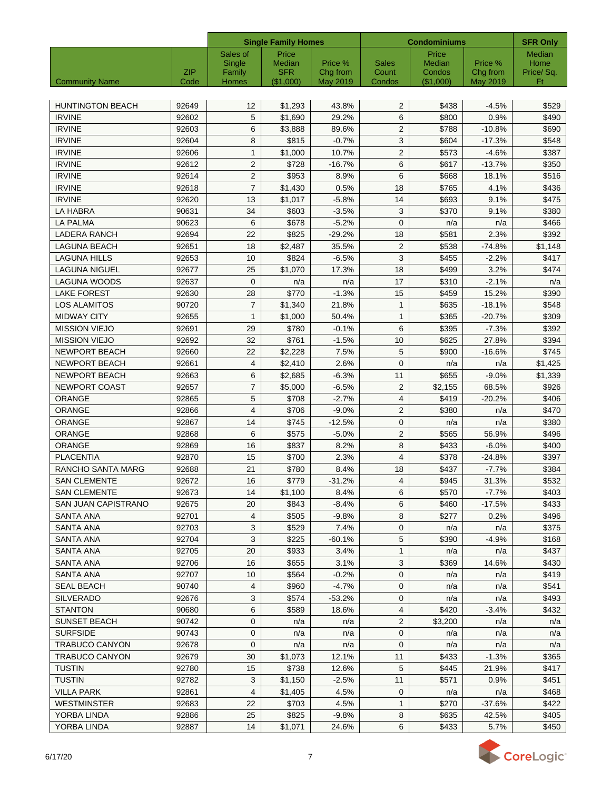|                            |                    | <b>Single Family Homes</b> |                         |                      | <b>Condominiums</b> | <b>SFR Only</b>     |                      |                 |
|----------------------------|--------------------|----------------------------|-------------------------|----------------------|---------------------|---------------------|----------------------|-----------------|
|                            |                    | Sales of                   | Price                   |                      |                     | Price               |                      | <b>Median</b>   |
|                            |                    | Single                     | Median                  | Price %              | <b>Sales</b>        | Median              | Price %              | Home            |
| <b>Community Name</b>      | <b>ZIP</b><br>Code | Family<br>Homes            | <b>SFR</b><br>(\$1,000) | Chg from<br>May 2019 | Count<br>Condos     | Condos<br>(\$1,000) | Chg from<br>May 2019 | Price/Sq.<br>Ft |
|                            |                    |                            |                         |                      |                     |                     |                      |                 |
| <b>HUNTINGTON BEACH</b>    | 92649              | 12                         | \$1,293                 | 43.8%                | $\overline{2}$      | \$438               | $-4.5%$              | \$529           |
| <b>IRVINE</b>              | 92602              | 5                          | \$1,690                 | 29.2%                | 6                   | \$800               | 0.9%                 | \$490           |
| <b>IRVINE</b>              | 92603              | 6                          | \$3,888                 | 89.6%                | $\overline{2}$      | \$788               | $-10.8%$             | \$690           |
| <b>IRVINE</b>              | 92604              | 8                          | \$815                   | $-0.7%$              | 3                   | \$604               | $-17.3%$             | \$548           |
| <b>IRVINE</b>              | 92606              | 1                          | \$1.000                 | 10.7%                | $\overline{2}$      | \$573               | $-4.6%$              | \$387           |
| <b>IRVINE</b>              | 92612              | $\overline{c}$             | \$728                   | $-16.7%$             | 6                   | \$617               | $-13.7%$             | \$350           |
| <b>IRVINE</b>              | 92614              | $\overline{c}$             | \$953                   | 8.9%                 | 6                   | \$668               | 18.1%                | \$516           |
| <b>IRVINE</b>              | 92618              | 7                          | \$1,430                 | 0.5%                 | 18                  | \$765               | 4.1%                 | \$436           |
| <b>IRVINE</b>              | 92620              | 13                         | \$1,017                 | $-5.8%$              | 14                  | \$693               | 9.1%                 | \$475           |
| LA HABRA                   | 90631              | 34                         | \$603                   | $-3.5%$              | 3                   | \$370               | 9.1%                 | \$380           |
| LA PALMA                   | 90623              | 6                          | \$678                   | $-5.2%$              | $\mathbf 0$         | n/a                 | n/a                  | \$466           |
| <b>LADERA RANCH</b>        | 92694              | 22                         | \$825                   | $-29.2%$             | 18                  | \$581               | 2.3%                 | \$392           |
| <b>LAGUNA BEACH</b>        | 92651              | 18                         | \$2,487                 | 35.5%                | $\overline{2}$      | \$538               | $-74.8%$             | \$1,148         |
| <b>LAGUNA HILLS</b>        | 92653              | 10                         | \$824                   | $-6.5%$              | 3                   | \$455               | $-2.2%$              | \$417           |
| <b>LAGUNA NIGUEL</b>       | 92677              | 25                         | \$1,070                 | 17.3%                | 18                  | \$499               | 3.2%                 | \$474           |
| <b>LAGUNA WOODS</b>        | 92637              | $\mathbf{0}$               | n/a                     | n/a                  | 17                  | \$310               | $-2.1%$              | n/a             |
| <b>LAKE FOREST</b>         | 92630              | 28                         | \$770                   | $-1.3%$              | 15                  | \$459               | 15.2%                | \$390           |
| <b>LOS ALAMITOS</b>        | 90720              | 7                          | \$1,340                 | 21.8%                | $\mathbf{1}$        | \$635               | $-18.1%$             | \$548           |
| <b>MIDWAY CITY</b>         |                    |                            |                         |                      |                     |                     |                      |                 |
|                            | 92655              | $\mathbf{1}$               | \$1,000                 | 50.4%                | $\mathbf{1}$        | \$365               | $-20.7%$             | \$309           |
| <b>MISSION VIEJO</b>       | 92691              | 29                         | \$780                   | $-0.1%$              | 6                   | \$395               | $-7.3%$              | \$392           |
| <b>MISSION VIEJO</b>       | 92692              | 32                         | \$761                   | $-1.5%$              | 10                  | \$625               | 27.8%                | \$394           |
| <b>NEWPORT BEACH</b>       | 92660              | 22                         | \$2,228                 | 7.5%                 | 5                   | \$900               | $-16.6%$             | \$745           |
| <b>NEWPORT BEACH</b>       | 92661              | 4                          | \$2,410                 | 2.6%                 | $\mathbf 0$         | n/a                 | n/a                  | \$1,425         |
| <b>NEWPORT BEACH</b>       | 92663              | 6                          | \$2,685                 | $-6.3%$              | 11                  | \$655               | $-9.0%$              | \$1,339         |
| <b>NEWPORT COAST</b>       | 92657              | $\overline{7}$             | \$5,000                 | $-6.5%$              | $\overline{2}$      | \$2,155             | 68.5%                | \$926           |
| <b>ORANGE</b>              | 92865              | 5                          | \$708                   | $-2.7%$              | $\overline{4}$      | \$419               | $-20.2%$             | \$406           |
| <b>ORANGE</b>              | 92866              | 4                          | \$706                   | $-9.0%$              | 2                   | \$380               | n/a                  | \$470           |
| ORANGE                     | 92867              | 14                         | \$745                   | $-12.5%$             | $\mathbf 0$         | n/a                 | n/a                  | \$380           |
| <b>ORANGE</b>              | 92868              | 6                          | \$575                   | $-5.0%$              | $\overline{2}$      | \$565               | 56.9%                | \$496           |
| <b>ORANGE</b>              | 92869              | 16                         | \$837                   | 8.2%                 | 8                   | \$433               | $-6.0%$              | \$400           |
| <b>PLACENTIA</b>           | 92870              | 15                         | \$700                   | 2.3%                 | $\overline{4}$      | \$378               | $-24.8%$             | \$397           |
| RANCHO SANTA MARG          | 92688              | 21                         | \$780                   | 8.4%                 | 18                  | \$437               | $-7.7%$              | \$384           |
| SAN CLEMENTE               | 92672              | 16                         | \$779                   | $-31.2%$             | $\overline{4}$      | \$945               | 31.3%                | \$532           |
| <b>SAN CLEMENTE</b>        | 92673              | 14                         | \$1,100                 | 8.4%                 | 6                   | \$570               | $-7.7\%$             | \$403           |
| <b>SAN JUAN CAPISTRANO</b> | 92675              | 20                         | \$843                   | $-8.4%$              | 6                   | \$460               | $-17.5%$             | \$433           |
| SANTA ANA                  | 92701              | 4                          | \$505                   | $-9.8%$              | 8                   | \$277               | 0.2%                 | \$496           |
| <b>SANTA ANA</b>           | 92703              | 3                          | \$529                   | 7.4%                 | 0                   | n/a                 | n/a                  | \$375           |
| <b>SANTA ANA</b>           | 92704              | 3                          | \$225                   | $-60.1%$             | 5                   | \$390               | $-4.9%$              | \$168           |
| <b>SANTA ANA</b>           | 92705              | 20                         | \$933                   | 3.4%                 | 1                   | n/a                 | n/a                  | \$437           |
| <b>SANTA ANA</b>           | 92706              | 16                         | \$655                   | 3.1%                 | $\mathbf{3}$        | \$369               | 14.6%                | \$430           |
| <b>SANTA ANA</b>           | 92707              | 10                         | \$564                   | $-0.2%$              | $\mathbf 0$         | n/a                 | n/a                  | \$419           |
| <b>SEAL BEACH</b>          | 90740              | 4                          | \$960                   | $-4.7%$              | 0                   | n/a                 | n/a                  | \$541           |
| <b>SILVERADO</b>           | 92676              | 3                          | \$574                   | $-53.2%$             | 0                   | n/a                 | n/a                  | \$493           |
| <b>STANTON</b>             | 90680              | 6                          | \$589                   | 18.6%                | 4                   | \$420               | $-3.4%$              | \$432           |
| <b>SUNSET BEACH</b>        | 90742              | 0                          | n/a                     | n/a                  | $\overline{2}$      | \$3,200             | n/a                  | n/a             |
| <b>SURFSIDE</b>            | 90743              | 0                          | n/a                     | n/a                  | 0                   | n/a                 | n/a                  | n/a             |
| <b>TRABUCO CANYON</b>      | 92678              | $\mathbf{0}$               | n/a                     | n/a                  | $\mathbf{0}$        | n/a                 | n/a                  | n/a             |
| <b>TRABUCO CANYON</b>      | 92679              | 30                         | \$1,073                 | 12.1%                | 11                  | \$433               | $-1.3%$              | \$365           |
| <b>TUSTIN</b>              | 92780              | 15                         | \$738                   | 12.6%                | 5                   | \$445               | 21.9%                | \$417           |
| <b>TUSTIN</b>              | 92782              | 3                          | \$1,150                 | $-2.5%$              | 11                  | \$571               | 0.9%                 | \$451           |
| <b>VILLA PARK</b>          | 92861              | 4                          | \$1,405                 | 4.5%                 | 0                   | n/a                 | n/a                  | \$468           |
| <b>WESTMINSTER</b>         | 92683              | 22                         | \$703                   | 4.5%                 | $\mathbf{1}$        | \$270               | $-37.6%$             | \$422           |
| YORBA LINDA                | 92886              | 25                         | \$825                   | $-9.8%$              | 8                   | \$635               | 42.5%                | \$405           |
| YORBA LINDA                | 92887              | 14                         | \$1,071                 | 24.6%                | 6                   | \$433               | 5.7%                 | \$450           |

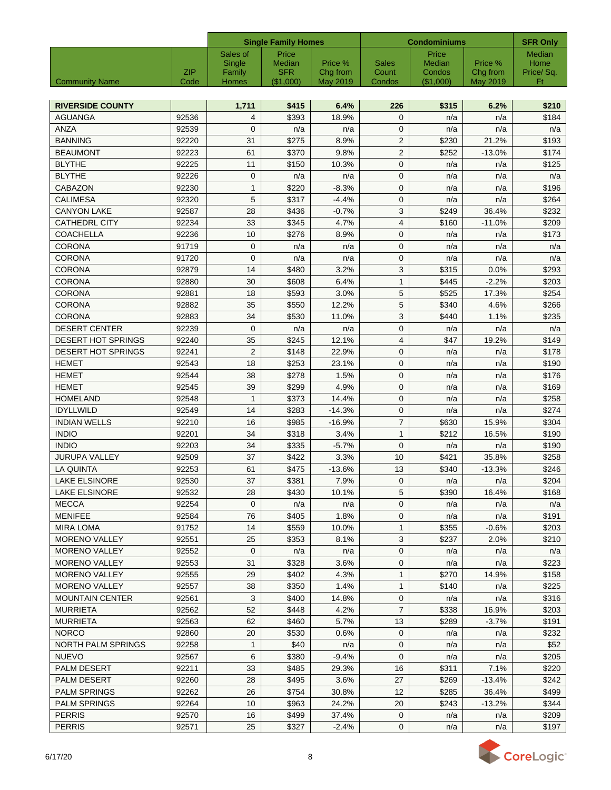|                           |            |                | <b>Single Family Homes</b> |          |                | <b>Condominiums</b> |          |                                  |  |
|---------------------------|------------|----------------|----------------------------|----------|----------------|---------------------|----------|----------------------------------|--|
|                           |            | Sales of       | Price                      |          |                | Price               |          | <b>SFR Only</b><br><b>Median</b> |  |
|                           |            | Single         | Median                     | Price %  | Sales          | Median              | Price %  | Home                             |  |
|                           | <b>ZIP</b> | Family         | <b>SFR</b>                 | Chg from | Count          | Condos              | Chg from | Price/Sq.                        |  |
| <b>Community Name</b>     | Code       | Homes          | (\$1,000)                  | May 2019 | Condos         | (\$1,000)           | May 2019 | Ft                               |  |
| <b>RIVERSIDE COUNTY</b>   |            | 1,711          | \$415                      | 6.4%     | 226            | \$315               | 6.2%     | \$210                            |  |
| <b>AGUANGA</b>            | 92536      | 4              | \$393                      | 18.9%    | $\mathbf 0$    | n/a                 | n/a      | \$184                            |  |
| ANZA                      | 92539      | $\mathbf 0$    |                            | n/a      | $\mathbf 0$    | n/a                 | n/a      | n/a                              |  |
| <b>BANNING</b>            | 92220      | 31             | n/a<br>\$275               | 8.9%     | $\overline{2}$ | \$230               | 21.2%    | \$193                            |  |
| <b>BEAUMONT</b>           | 92223      | 61             | \$370                      | 9.8%     | 2              | \$252               | $-13.0%$ | \$174                            |  |
| <b>BLYTHE</b>             | 92225      | 11             | \$150                      | 10.3%    | $\mathbf 0$    | n/a                 | n/a      | \$125                            |  |
| <b>BLYTHE</b>             | 92226      | 0              | n/a                        | n/a      | $\mathbf 0$    | n/a                 | n/a      | n/a                              |  |
| CABAZON                   | 92230      | 1              | \$220                      | $-8.3%$  | $\mathbf 0$    | n/a                 | n/a      | \$196                            |  |
| <b>CALIMESA</b>           | 92320      | 5              | \$317                      | $-4.4%$  | $\mathbf 0$    | n/a                 | n/a      | \$264                            |  |
| <b>CANYON LAKE</b>        | 92587      | 28             | \$436                      | $-0.7%$  | 3              | \$249               | 36.4%    | \$232                            |  |
| <b>CATHEDRL CITY</b>      | 92234      | 33             | \$345                      | 4.7%     | 4              | \$160               | $-11.0%$ | \$209                            |  |
| <b>COACHELLA</b>          | 92236      | 10             | \$276                      | 8.9%     | $\mathbf 0$    | n/a                 | n/a      | \$173                            |  |
| <b>CORONA</b>             | 91719      | $\mathbf 0$    | n/a                        | n/a      | $\mathbf 0$    | n/a                 | n/a      | n/a                              |  |
| <b>CORONA</b>             | 91720      | $\mathbf 0$    | n/a                        | n/a      | $\mathbf 0$    | n/a                 | n/a      | n/a                              |  |
| <b>CORONA</b>             | 92879      | 14             | \$480                      | 3.2%     | 3              | \$315               | 0.0%     | \$293                            |  |
| <b>CORONA</b>             | 92880      | 30             | \$608                      | 6.4%     | $\mathbf{1}$   | \$445               | $-2.2%$  | \$203                            |  |
| <b>CORONA</b>             | 92881      | 18             | \$593                      | 3.0%     | 5              | \$525               | 17.3%    | \$254                            |  |
| <b>CORONA</b>             | 92882      | 35             | \$550                      | 12.2%    | $\sqrt{5}$     | \$340               | 4.6%     | \$266                            |  |
| <b>CORONA</b>             | 92883      | 34             | \$530                      | 11.0%    | 3              | \$440               | 1.1%     | \$235                            |  |
| <b>DESERT CENTER</b>      | 92239      | $\mathbf 0$    | n/a                        | n/a      | $\mathbf 0$    | n/a                 | n/a      | n/a                              |  |
| <b>DESERT HOT SPRINGS</b> | 92240      | 35             | \$245                      | 12.1%    | $\overline{4}$ | \$47                | 19.2%    | \$149                            |  |
| <b>DESERT HOT SPRINGS</b> | 92241      | $\overline{2}$ | \$148                      | 22.9%    | $\mathbf 0$    | n/a                 | n/a      | \$178                            |  |
| <b>HEMET</b>              | 92543      | 18             | \$253                      | 23.1%    | $\mathbf 0$    | n/a                 | n/a      | \$190                            |  |
| <b>HEMET</b>              | 92544      | 38             | \$278                      | 1.5%     | $\mathbf 0$    | n/a                 | n/a      | \$176                            |  |
| <b>HEMET</b>              | 92545      | 39             | \$299                      | 4.9%     | $\mathbf 0$    | n/a                 | n/a      | \$169                            |  |
| <b>HOMELAND</b>           | 92548      | $\mathbf{1}$   | \$373                      | 14.4%    | $\mathbf 0$    | n/a                 | n/a      | \$258                            |  |
| <b>IDYLLWILD</b>          | 92549      | 14             | \$283                      | $-14.3%$ | $\mathbf 0$    | n/a                 | n/a      | \$274                            |  |
| <b>INDIAN WELLS</b>       | 92210      | 16             | \$985                      | $-16.9%$ | $\overline{7}$ | \$630               | 15.9%    | \$304                            |  |
| <b>INDIO</b>              | 92201      | 34             | \$318                      | 3.4%     | $\mathbf{1}$   | \$212               | 16.5%    | \$190                            |  |
| <b>INDIO</b>              | 92203      | 34             | \$335                      | $-5.7%$  | $\mathbf 0$    | n/a                 | n/a      | \$190                            |  |
| <b>JURUPA VALLEY</b>      | 92509      | 37             | \$422                      | 3.3%     | 10             | \$421               | 35.8%    | \$258                            |  |
| LA QUINTA                 | 92253      | 61             | \$475                      | $-13.6%$ | 13             | \$340               | $-13.3%$ | \$246                            |  |
| <b>LAKE ELSINORE</b>      | 92530      | 37             | \$381                      | 7.9%     | 0              | n/a                 | n/a      | \$204                            |  |
| LAKE ELSINORE             | 92532      | 28             | \$430                      | 10.1%    | 5              | \$390               | 16.4%    | \$168                            |  |
| <b>MECCA</b>              | 92254      | 0              | n/a                        | n/a      | $\mathbf 0$    | n/a                 | n/a      | n/a                              |  |
| <b>MENIFEE</b>            | 92584      | 76             | \$405                      | 1.8%     | $\mathbf 0$    | n/a                 | n/a      | \$191                            |  |
| <b>MIRA LOMA</b>          | 91752      | 14             | \$559                      | 10.0%    | $\mathbf{1}$   | \$355               | $-0.6%$  | \$203                            |  |
| <b>MORENO VALLEY</b>      | 92551      | 25             | \$353                      | 8.1%     | 3              | \$237               | 2.0%     | \$210                            |  |
| <b>MORENO VALLEY</b>      | 92552      | $\mathbf 0$    | n/a                        | n/a      | $\mathbf{0}$   | n/a                 | n/a      | n/a                              |  |
| <b>MORENO VALLEY</b>      | 92553      | 31             | \$328                      | 3.6%     | 0              | n/a                 | n/a      | \$223                            |  |
| <b>MORENO VALLEY</b>      | 92555      | 29             | \$402                      | 4.3%     | 1              | \$270               | 14.9%    | \$158                            |  |
| <b>MORENO VALLEY</b>      | 92557      | 38             | \$350                      | 1.4%     | $\mathbf{1}$   | \$140               | n/a      | \$225                            |  |
| <b>MOUNTAIN CENTER</b>    | 92561      | 3              | \$400                      | 14.8%    | 0              | n/a                 | n/a      | \$316                            |  |
| <b>MURRIETA</b>           | 92562      | 52             | \$448                      | 4.2%     | $\overline{7}$ | \$338               | 16.9%    | \$203                            |  |
| <b>MURRIETA</b>           | 92563      | 62             | \$460                      | 5.7%     | 13             | \$289               | $-3.7%$  | \$191                            |  |
| <b>NORCO</b>              | 92860      | 20             | \$530                      | 0.6%     | 0              | n/a                 | n/a      | \$232                            |  |
| NORTH PALM SPRINGS        | 92258      | 1              | \$40                       | n/a      | 0              | n/a                 | n/a      | \$52                             |  |
| <b>NUEVO</b>              | 92567      | 6              | \$380                      | $-9.4%$  | 0              | n/a                 | n/a      | \$205                            |  |
| <b>PALM DESERT</b>        | 92211      | 33             | \$485                      | 29.3%    | 16             | \$311               | 7.1%     | \$220                            |  |
| <b>PALM DESERT</b>        | 92260      | 28             | \$495                      | 3.6%     | 27             | \$269               | $-13.4%$ | \$242                            |  |
| <b>PALM SPRINGS</b>       | 92262      | 26             | \$754                      | 30.8%    | 12             | \$285               | 36.4%    | \$499                            |  |
| <b>PALM SPRINGS</b>       | 92264      | 10             | \$963                      | 24.2%    | 20             | \$243               | $-13.2%$ | \$344                            |  |
| <b>PERRIS</b>             | 92570      | 16             | \$499                      | 37.4%    | 0              | n/a                 | n/a      | \$209                            |  |
| <b>PERRIS</b>             | 92571      | 25             | \$327                      | $-2.4%$  | $\mathbf 0$    | n/a                 | n/a      | \$197                            |  |

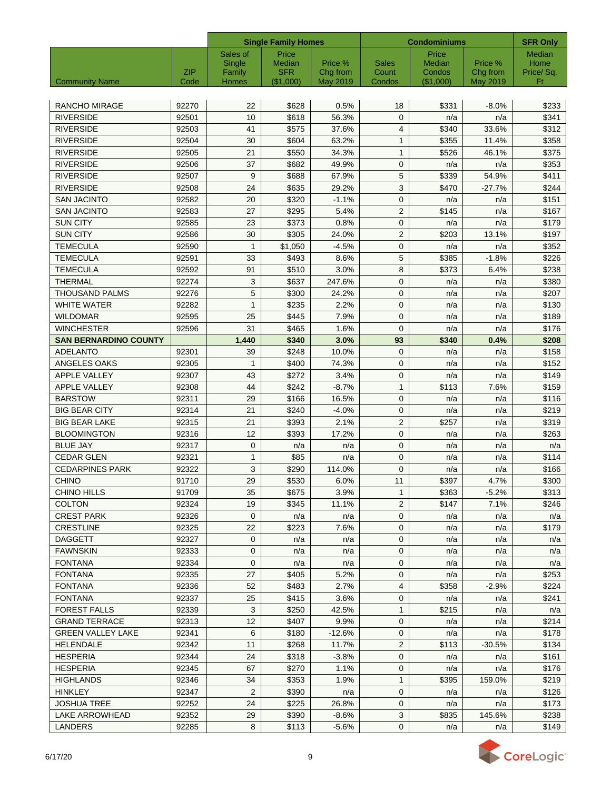|                              |       |                 | <b>Single Family Homes</b> |                             | <b>Condominiums</b>   | <b>SFR Only</b>  |                     |                   |
|------------------------------|-------|-----------------|----------------------------|-----------------------------|-----------------------|------------------|---------------------|-------------------|
|                              |       | Sales of        | Price                      |                             |                       | Price            |                     | Median            |
|                              | ZIP   | Single          | Median<br><b>SFR</b>       | Price %                     | <b>Sales</b><br>Count | Median<br>Condos | Price %<br>Chg from | Home<br>Price/Sq. |
| <b>Community Name</b>        | Code  | Family<br>Homes | (\$1,000)                  | Chg from<br><b>May 2019</b> | Condos                | (\$1,000)        | May 2019            | Ft                |
|                              |       |                 |                            |                             |                       |                  |                     |                   |
| <b>RANCHO MIRAGE</b>         | 92270 | 22              | \$628                      | 0.5%                        | 18                    | \$331            | $-8.0%$             | \$233             |
| <b>RIVERSIDE</b>             | 92501 | 10              | \$618                      | 56.3%                       | $\mathbf 0$           | n/a              | n/a                 | \$341             |
| <b>RIVERSIDE</b>             | 92503 | 41              | \$575                      | 37.6%                       | 4                     | \$340            | 33.6%               | \$312             |
| <b>RIVERSIDE</b>             | 92504 | 30              | \$604                      | 63.2%                       | $\mathbf{1}$          | \$355            | 11.4%               | \$358             |
| <b>RIVERSIDE</b>             | 92505 | 21              | \$550                      | 34.3%                       | $\mathbf{1}$          | \$526            | 46.1%               | \$375             |
| <b>RIVERSIDE</b>             | 92506 | 37              | \$682                      | 49.9%                       | $\mathbf{0}$          | n/a              | n/a                 | \$353             |
| <b>RIVERSIDE</b>             | 92507 | 9               | \$688                      | 67.9%                       | 5                     | \$339            | 54.9%               | \$411             |
| <b>RIVERSIDE</b>             | 92508 | 24              | \$635                      | 29.2%                       | 3                     | \$470            | $-27.7%$            | \$244             |
| <b>SAN JACINTO</b>           | 92582 | 20              | \$320                      | $-1.1%$                     | $\mathbf{0}$          | n/a              | n/a                 | \$151             |
| <b>SAN JACINTO</b>           | 92583 | 27              | \$295                      | 5.4%                        | $\overline{2}$        | \$145            | n/a                 | \$167             |
| <b>SUN CITY</b>              | 92585 | 23              | \$373                      | 0.8%                        | $\mathbf{0}$          | n/a              | n/a                 | \$179             |
| <b>SUN CITY</b>              | 92586 | 30              | \$305                      | 24.0%                       | $\overline{2}$        | \$203            | 13.1%               | \$197             |
| <b>TEMECULA</b>              | 92590 | $\mathbf{1}$    | \$1,050                    | $-4.5%$                     | $\mathbf{0}$          | n/a              | n/a                 | \$352             |
| <b>TEMECULA</b>              | 92591 | 33              | \$493                      | 8.6%                        | 5                     | \$385            | $-1.8%$             | \$226             |
| <b>TEMECULA</b>              | 92592 | 91              | \$510                      | 3.0%                        | 8                     | \$373            | 6.4%                | \$238             |
| <b>THERMAL</b>               | 92274 | 3               | \$637                      | 247.6%                      | $\mathbf 0$           | n/a              | n/a                 | \$380             |
| <b>THOUSAND PALMS</b>        | 92276 | 5               | \$300                      | 24.2%                       | $\mathbf{0}$          | n/a              | n/a                 | \$207             |
| <b>WHITE WATER</b>           | 92282 | $\mathbf{1}$    | \$235                      | 2.2%                        | $\mathbf 0$           | n/a              | n/a                 | \$130             |
| <b>WILDOMAR</b>              | 92595 | 25              | \$445                      | 7.9%                        | $\mathbf 0$           | n/a              | n/a                 | \$189             |
| <b>WINCHESTER</b>            | 92596 | 31              | \$465                      | 1.6%                        | $\mathbf 0$           | n/a              | n/a                 | \$176             |
| <b>SAN BERNARDINO COUNTY</b> |       | 1,440           | \$340                      | 3.0%                        | 93                    | \$340            | 0.4%                | \$208             |
| <b>ADELANTO</b>              | 92301 | 39              | \$248                      | 10.0%                       | $\mathbf 0$           | n/a              | n/a                 | \$158             |
| ANGELES OAKS                 | 92305 | 1               | \$400                      | 74.3%                       | $\mathbf 0$           | n/a              | n/a                 | \$152             |
| APPLE VALLEY                 | 92307 | 43              | \$272                      | 3.4%                        | $\mathbf 0$           | n/a              | n/a                 | \$149             |
| <b>APPLE VALLEY</b>          | 92308 | 44              | \$242                      | $-8.7%$                     | $\mathbf{1}$          | \$113            | 7.6%                | \$159             |
| <b>BARSTOW</b>               | 92311 | 29              | \$166                      | 16.5%                       | $\mathbf{0}$          | n/a              | n/a                 | \$116             |
| <b>BIG BEAR CITY</b>         | 92314 | 21              | \$240                      | $-4.0%$                     | $\mathbf 0$           | n/a              | n/a                 | \$219             |
| <b>BIG BEAR LAKE</b>         | 92315 | 21              | \$393                      | 2.1%                        | $\overline{2}$        | \$257            | n/a                 | \$319             |
| <b>BLOOMINGTON</b>           | 92316 | 12              | \$393                      | 17.2%                       | $\mathbf 0$           | n/a              | n/a                 | \$263             |
| <b>BLUE JAY</b>              | 92317 | $\mathbf{0}$    | n/a                        | n/a                         | $\mathbf 0$           | n/a              | n/a                 | n/a               |
| <b>CEDAR GLEN</b>            | 92321 | 1               | \$85                       | n/a                         | $\mathbf 0$           | n/a              | n/a                 | \$114             |
| <b>CEDARPINES PARK</b>       | 92322 | 3               | \$290                      | 114.0%                      | $\mathbf 0$           | n/a              | n/a                 | \$166             |
| <b>CHINO</b>                 | 91710 | 29              | \$530                      | 6.0%                        | 11                    | \$397            | 4.7%                | \$300             |
| <b>CHINO HILLS</b>           | 91709 | 35              | \$675                      | 3.9%                        | $\mathbf{1}$          | \$363            | $-5.2%$             | \$313             |
| <b>COLTON</b>                | 92324 | 19              | \$345                      | 11.1%                       | 2                     | \$147            | 7.1%                | \$246             |
| <b>CREST PARK</b>            | 92326 | 0               | n/a                        | n/a                         | $\mathbf{0}$          | n/a              | n/a                 | n/a               |
| <b>CRESTLINE</b>             | 92325 | 22              | \$223                      | 7.6%                        | 0                     | n/a              | n/a                 | \$179             |
| <b>DAGGETT</b>               | 92327 | 0               | n/a                        | n/a                         | 0                     | n/a              | n/a                 | n/a               |
| <b>FAWNSKIN</b>              | 92333 | 0               | n/a                        | n/a                         | 0                     | n/a              | n/a                 | n/a               |
| <b>FONTANA</b>               | 92334 | 0               | n/a                        | n/a                         | $\mathbf 0$           | n/a              | n/a                 | n/a               |
| <b>FONTANA</b>               | 92335 | 27              | \$405                      | 5.2%                        | 0                     | n/a              | n/a                 | \$253             |
| <b>FONTANA</b>               | 92336 | 52              | \$483                      | 2.7%                        | 4                     | \$358            | $-2.9%$             | \$224             |
| <b>FONTANA</b>               | 92337 | 25              | \$415                      | 3.6%                        | 0                     | n/a              | n/a                 | \$241             |
| <b>FOREST FALLS</b>          | 92339 | 3               | \$250                      | 42.5%                       | 1                     | \$215            | n/a                 | n/a               |
| <b>GRAND TERRACE</b>         | 92313 | 12              | \$407                      | 9.9%                        | 0                     | n/a              | n/a                 | \$214             |
| <b>GREEN VALLEY LAKE</b>     | 92341 | 6               | \$180                      | $-12.6%$                    | 0                     | n/a              | n/a                 | \$178             |
| HELENDALE                    | 92342 | 11              | \$268                      | 11.7%                       | $\overline{2}$        | \$113            | $-30.5%$            | \$134             |
| HESPERIA                     | 92344 | 24              | \$318                      | $-3.8%$                     | 0                     | n/a              | n/a                 | \$161             |
| HESPERIA                     | 92345 | 67              | \$270                      | 1.1%                        | 0                     | n/a              | n/a                 | \$176             |
| <b>HIGHLANDS</b>             | 92346 | 34              | \$353                      | 1.9%                        | $\mathbf{1}$          | \$395            | 159.0%              | \$219             |
| <b>HINKLEY</b>               | 92347 | $\overline{2}$  | \$390                      | n/a                         | 0                     | n/a              | n/a                 | \$126             |
| <b>JOSHUA TREE</b>           | 92252 | 24              | \$225                      | 26.8%                       | $\mathbf 0$           | n/a              | n/a                 | \$173             |
| LAKE ARROWHEAD               | 92352 | 29              | \$390                      | $-8.6%$                     | 3                     | \$835            | 145.6%              | \$238             |
| <b>LANDERS</b>               | 92285 | 8               | \$113                      | $-5.6%$                     | $\mathbf 0$           | n/a              | n/a                 | \$149             |
|                              |       |                 |                            |                             |                       |                  |                     |                   |

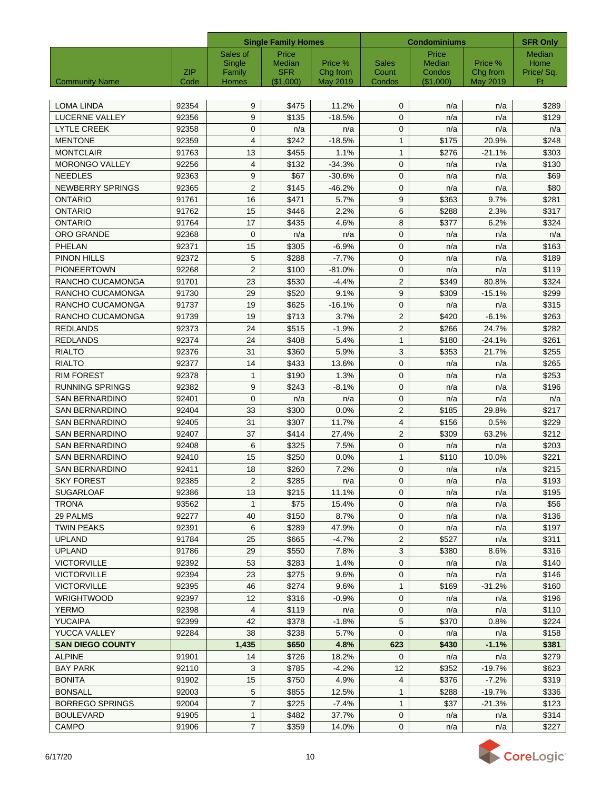|                         |       | <b>Single Family Homes</b> |                      |                     | <b>Condominiums</b>   | <b>SFR Only</b>  |                     |                   |
|-------------------------|-------|----------------------------|----------------------|---------------------|-----------------------|------------------|---------------------|-------------------|
|                         |       | Sales of                   | Price                |                     |                       | Price            |                     | <b>Median</b>     |
|                         | ZIP   | Single<br>Family           | Median<br><b>SFR</b> | Price %<br>Chg from | <b>Sales</b><br>Count | Median<br>Condos | Price %<br>Chg from | Home<br>Price/Sq. |
| <b>Community Name</b>   | Code  | Homes                      | (\$1,000)            | <b>May 2019</b>     | Condos                | $($ \$1,000)     | May 2019            | Ft                |
|                         |       |                            |                      |                     |                       |                  |                     |                   |
| LOMA LINDA              | 92354 | 9                          | \$475                | 11.2%               | $\mathbf{0}$          | n/a              | n/a                 | \$289             |
| <b>LUCERNE VALLEY</b>   | 92356 | 9                          | \$135                | $-18.5%$            | $\mathbf{0}$          | n/a              | n/a                 | \$129             |
| <b>LYTLE CREEK</b>      | 92358 | $\mathbf{0}$               | n/a                  | n/a                 | $\mathbf{0}$          | n/a              | n/a                 | n/a               |
| <b>MENTONE</b>          | 92359 | $\overline{4}$             | \$242                | $-18.5%$            | $\mathbf{1}$          | \$175            | 20.9%               | \$248             |
| <b>MONTCLAIR</b>        | 91763 | 13                         | \$455                | 1.1%                | $\mathbf{1}$          | \$276            | $-21.1%$            | \$303             |
| <b>MORONGO VALLEY</b>   | 92256 | 4                          | \$132                | $-34.3%$            | $\mathbf{0}$          | n/a              | n/a                 | \$130             |
| <b>NEEDLES</b>          | 92363 | 9                          | \$67                 | $-30.6%$            | $\mathbf 0$           | n/a              | n/a                 | \$69              |
| <b>NEWBERRY SPRINGS</b> | 92365 | $\overline{2}$             | \$145                | $-46.2%$            | $\mathbf{0}$          | n/a              | n/a                 | \$80              |
| <b>ONTARIO</b>          | 91761 | 16                         | \$471                | 5.7%                | 9                     | \$363            | 9.7%                | \$281             |
| <b>ONTARIO</b>          | 91762 | 15                         | \$446                | 2.2%                | 6                     | \$288            | 2.3%                | \$317             |
| ONTARIO                 | 91764 | 17                         | \$435                | 4.6%                | 8                     | \$377            | 6.2%                | \$324             |
| <b>ORO GRANDE</b>       | 92368 | $\mathbf{0}$               | n/a                  | n/a                 | $\mathbf 0$           | n/a              | n/a                 | n/a               |
| PHELAN                  | 92371 | 15                         | \$305                | $-6.9%$             | $\mathbf 0$           | n/a              | n/a                 | \$163             |
| <b>PINON HILLS</b>      | 92372 | 5                          | \$288                | $-7.7%$             | $\mathbf 0$           | n/a              | n/a                 | \$189             |
| <b>PIONEERTOWN</b>      | 92268 | $\overline{2}$             | \$100                | $-81.0%$            | $\mathbf 0$           | n/a              | n/a                 | \$119             |
| RANCHO CUCAMONGA        | 91701 | 23                         | \$530                | $-4.4%$             | $\overline{2}$        | \$349            | 80.8%               | \$324             |
| RANCHO CUCAMONGA        | 91730 | 29                         | \$520                | 9.1%                | 9                     | \$309            | $-15.1%$            | \$299             |
| RANCHO CUCAMONGA        | 91737 | 19                         | \$625                | $-16.1%$            | $\mathbf 0$           | n/a              | n/a                 | \$315             |
| RANCHO CUCAMONGA        | 91739 | 19                         | \$713                | 3.7%                | $\mathbf{2}$          | \$420            | $-6.1%$             | \$263             |
| <b>REDLANDS</b>         | 92373 | 24                         | \$515                | $-1.9%$             | 2                     | \$266            | 24.7%               | \$282             |
| <b>REDLANDS</b>         | 92374 | 24                         | \$408                | 5.4%                | $\mathbf{1}$          | \$180            | $-24.1%$            | \$261             |
| <b>RIALTO</b>           | 92376 | 31                         | \$360                | 5.9%                | 3                     | \$353            | 21.7%               | \$255             |
| <b>RIALTO</b>           | 92377 | 14                         | \$433                | 13.6%               | $\mathbf 0$           | n/a              | n/a                 | \$265             |
| <b>RIM FOREST</b>       | 92378 | $\mathbf{1}$               | \$190                | 1.3%                | $\mathbf 0$           | n/a              | n/a                 | \$253             |
| <b>RUNNING SPRINGS</b>  | 92382 | 9                          | \$243                | $-8.1%$             | $\mathbf{0}$          | n/a              | n/a                 | \$196             |
| <b>SAN BERNARDINO</b>   | 92401 | $\mathbf{0}$               | n/a                  | n/a                 | $\mathbf{0}$          | n/a              | n/a                 | n/a               |
| <b>SAN BERNARDINO</b>   | 92404 | 33                         | \$300                | 0.0%                | 2                     | \$185            | 29.8%               | \$217             |
| <b>SAN BERNARDINO</b>   | 92405 | 31                         | \$307                | 11.7%               | $\overline{4}$        | \$156            | 0.5%                | \$229             |
| <b>SAN BERNARDINO</b>   | 92407 | 37                         | \$414                | 27.4%               | 2                     | \$309            | 63.2%               | \$212             |
| <b>SAN BERNARDINO</b>   | 92408 | 6                          | \$325                | 7.5%                | $\mathbf{0}$          | n/a              | n/a                 | \$203             |
| <b>SAN BERNARDINO</b>   | 92410 | 15                         | \$250                | 0.0%                | $\mathbf{1}$          | \$110            | 10.0%               | \$221             |
| <b>SAN BERNARDINO</b>   | 92411 | 18                         | \$260                | 7.2%                | $\mathbf{0}$          | n/a              | n/a                 | \$215             |
| <b>SKY FOREST</b>       | 92385 | $\overline{c}$             | \$285                | n/a                 | $\mathsf 0$           | n/a              | n/a                 | \$193             |
| <b>SUGARLOAF</b>        | 92386 | 13                         | \$215                | 11.1%               | $\mathbf{0}$          | n/a              | n/a                 | \$195             |
| <b>TRONA</b>            | 93562 | $\mathbf{1}$               | \$75                 | 15.4%               | 0                     | n/a              | n/a                 | \$56              |
| 29 PALMS                | 92277 | 40                         | \$150                | 8.7%                | $\mathbf 0$           | n/a              | n/a                 | \$136             |
| <b>TWIN PEAKS</b>       | 92391 | 6                          | \$289                | 47.9%               | $\mathbf 0$           | n/a              | n/a                 | \$197             |
| <b>UPLAND</b>           | 91784 | 25                         | \$665                | $-4.7%$             | 2                     | \$527            | n/a                 | \$311             |
| <b>UPLAND</b>           | 91786 | 29                         | \$550                | 7.8%                | $\mathbf{3}$          | \$380            | 8.6%                | \$316             |
| <b>VICTORVILLE</b>      | 92392 | 53                         | \$283                | 1.4%                | $\mathbf 0$           | n/a              | n/a                 | \$140             |
| <b>VICTORVILLE</b>      | 92394 | 23                         | \$275                | 9.6%                | $\mathbf 0$           | n/a              | n/a                 | \$146             |
| <b>VICTORVILLE</b>      | 92395 | 46                         | \$274                | 9.6%                | $\mathbf{1}$          | \$169            | $-31.2%$            | \$160             |
| WRIGHTWOOD              | 92397 | 12 <sup>2</sup>            | \$316                | $-0.9%$             | 0                     | n/a              | n/a                 | \$196             |
| <b>YERMO</b>            | 92398 | 4                          | \$119                | n/a                 | 0                     | n/a              | n/a                 | \$110             |
| YUCAIPA                 | 92399 | 42                         | \$378                | $-1.8%$             | 5                     | \$370            | 0.8%                | \$224             |
| YUCCA VALLEY            | 92284 | 38                         | \$238                | 5.7%                | $\mathbf{0}$          | n/a              | n/a                 | \$158             |
| <b>SAN DIEGO COUNTY</b> |       | 1,435                      | \$650                | 4.8%                | 623                   | \$430            | $-1.1%$             | \$381             |
| <b>ALPINE</b>           | 91901 | 14                         | \$726                | 18.2%               | $\mathbf{0}$          | n/a              | n/a                 | \$279             |
| BAY PARK                | 92110 | 3                          | \$785                | $-4.2%$             | 12                    | \$352            | $-19.7%$            | \$623             |
| <b>BONITA</b>           | 91902 | 15                         | \$750                | 4.9%                | 4                     | \$376            | $-7.2%$             | \$319             |
| <b>BONSALL</b>          | 92003 | 5                          | \$855                | 12.5%               | 1                     | \$288            | -19.7%              | \$336             |
| <b>BORREGO SPRINGS</b>  | 92004 | $\overline{7}$             | \$225                | $-7.4%$             | $\mathbf{1}$          | \$37             | $-21.3%$            | \$123             |
| <b>BOULEVARD</b>        | 91905 | $\mathbf{1}$               | \$482                | 37.7%               | $\mathsf 0$           | n/a              | n/a                 | \$314             |
| <b>CAMPO</b>            | 91906 | $\overline{7}$             | \$359                | 14.0%               | $\mathbf 0$           | n/a              | n/a                 | \$227             |

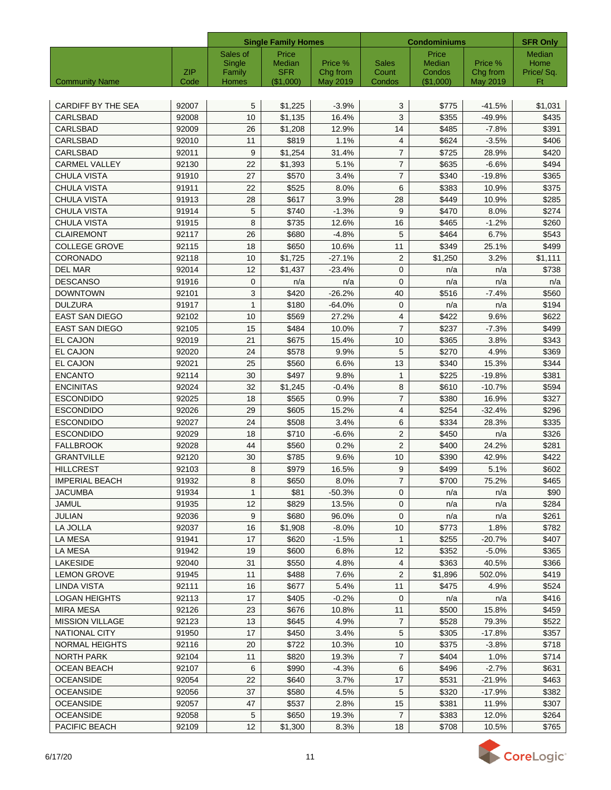|                           |             | <b>Single Family Homes</b> |                         |                      | <b>Condominiums</b> | <b>SFR Only</b>       |                      |                 |
|---------------------------|-------------|----------------------------|-------------------------|----------------------|---------------------|-----------------------|----------------------|-----------------|
|                           |             | Sales of                   | Price                   |                      |                     | Price                 |                      | Median          |
|                           |             | Single                     | Median                  | Price %              | Sales               | Median                | Price %              | Home            |
| <b>Community Name</b>     | ZIP<br>Code | Family<br>Homes            | <b>SFR</b><br>(\$1,000) | Chg from<br>May 2019 | Count<br>Condos     | Condos<br>$(\$1,000)$ | Chg from<br>May 2019 | Price/Sq.<br>Ft |
|                           |             |                            |                         |                      |                     |                       |                      |                 |
| <b>CARDIFF BY THE SEA</b> | 92007       | 5                          | \$1,225                 | $-3.9%$              | 3                   | \$775                 | $-41.5%$             | \$1,031         |
| CARLSBAD                  | 92008       | 10                         | \$1,135                 | 16.4%                | 3                   | \$355                 | $-49.9%$             | \$435           |
| CARLSBAD                  | 92009       | 26                         | \$1,208                 | 12.9%                | 14                  | \$485                 | $-7.8%$              | \$391           |
| <b>CARLSBAD</b>           | 92010       | 11                         | \$819                   | 1.1%                 | $\overline{4}$      | \$624                 | $-3.5%$              | \$406           |
| CARLSBAD                  | 92011       | 9                          | \$1.254                 | 31.4%                | $\overline{7}$      | \$725                 | 28.9%                | \$420           |
| <b>CARMEL VALLEY</b>      | 92130       | 22                         | \$1,393                 | 5.1%                 | $\overline{7}$      | \$635                 | $-6.6%$              | \$494           |
| <b>CHULA VISTA</b>        | 91910       | 27                         | \$570                   | 3.4%                 | $\overline{7}$      | \$340                 | $-19.8%$             | \$365           |
| CHULA VISTA               | 91911       | 22                         | \$525                   | 8.0%                 | 6                   | \$383                 | 10.9%                | \$375           |
| <b>CHULA VISTA</b>        | 91913       | 28                         | \$617                   | 3.9%                 | 28                  | \$449                 | 10.9%                | \$285           |
| <b>CHULA VISTA</b>        | 91914       | 5                          | \$740                   | $-1.3%$              | 9                   | \$470                 | 8.0%                 | \$274           |
| <b>CHULA VISTA</b>        | 91915       | 8                          | \$735                   | 12.6%                | 16                  | \$465                 | $-1.2%$              | \$260           |
| <b>CLAIREMONT</b>         | 92117       | 26                         | \$680                   | $-4.8%$              | 5                   | \$464                 | 6.7%                 | \$543           |
| <b>COLLEGE GROVE</b>      | 92115       | 18                         | \$650                   | 10.6%                | 11                  | \$349                 | 25.1%                | \$499           |
| CORONADO                  | 92118       | 10                         | \$1,725                 | $-27.1%$             | $\overline{2}$      | \$1,250               | 3.2%                 | \$1,111         |
| <b>DEL MAR</b>            | 92014       | 12                         | \$1,437                 | $-23.4%$             | $\mathbf{0}$        | n/a                   | n/a                  | \$738           |
| <b>DESCANSO</b>           | 91916       | $\mathbf{0}$               | n/a                     | n/a                  | $\mathbf{0}$        | n/a                   | n/a                  | n/a             |
| <b>DOWNTOWN</b>           | 92101       | 3                          | \$420                   | $-26.2%$             | 40                  | \$516                 | $-7.4%$              | \$560           |
| <b>DULZURA</b>            | 91917       | $\mathbf{1}$               | \$180                   | $-64.0%$             | $\mathbf{0}$        | n/a                   | n/a                  | \$194           |
| <b>EAST SAN DIEGO</b>     | 92102       | 10                         | \$569                   | 27.2%                | 4                   | \$422                 | 9.6%                 | \$622           |
| <b>EAST SAN DIEGO</b>     | 92105       | 15                         | \$484                   | 10.0%                | $\overline{7}$      | \$237                 | $-7.3%$              | \$499           |
| EL CAJON                  | 92019       | 21                         | \$675                   | 15.4%                | 10                  | \$365                 | 3.8%                 | \$343           |
| EL CAJON                  | 92020       | 24                         | \$578                   | 9.9%                 | 5                   | \$270                 | 4.9%                 | \$369           |
| EL CAJON                  | 92021       | 25                         | \$560                   | 6.6%                 | 13                  | \$340                 | 15.3%                | \$344           |
| <b>ENCANTO</b>            | 92114       | 30                         | \$497                   | 9.8%                 | 1                   | \$225                 | $-19.8%$             | \$381           |
| <b>ENCINITAS</b>          | 92024       | 32                         | \$1,245                 | $-0.4%$              | 8                   | \$610                 | $-10.7%$             | \$594           |
| <b>ESCONDIDO</b>          | 92025       | 18                         | \$565                   | 0.9%                 | $\overline{7}$      | \$380                 | 16.9%                | \$327           |
| <b>ESCONDIDO</b>          | 92026       | 29                         | \$605                   | 15.2%                | $\overline{4}$      | \$254                 | $-32.4%$             | \$296           |
| <b>ESCONDIDO</b>          | 92027       | 24                         | \$508                   | 3.4%                 | 6                   | \$334                 | 28.3%                | \$335           |
| <b>ESCONDIDO</b>          | 92029       | 18                         | \$710                   | $-6.6%$              | $\overline{2}$      | \$450                 | n/a                  | \$326           |
| <b>FALLBROOK</b>          | 92028       | 44                         | \$560                   | 0.2%                 | 2                   | \$400                 | 24.2%                | \$281           |
| <b>GRANTVILLE</b>         | 92120       | 30                         | \$785                   | 9.6%                 | 10                  | \$390                 | 42.9%                | \$422           |
| <b>HILLCREST</b>          | 92103       | 8                          | \$979                   | 16.5%                | 9                   | \$499                 | 5.1%                 | \$602           |
| <b>IMPERIAL BEACH</b>     | 91932       | 8                          | \$650                   | 8.0%                 | $\boldsymbol{7}$    | \$700                 | 75.2%                | \$465           |
| JACUMBA                   | 91934       | $\mathbf{1}$               | \$81                    | -50.3%               | $\mathbf{0}$        | n/a                   | n/a                  | \$90            |
| JAMUL                     | 91935       | 12                         | \$829                   | 13.5%                | 0                   | n/a                   | n/a                  | \$284           |
| <b>JULIAN</b>             | 92036       | 9                          | \$680                   | 96.0%                | $\mathbf{0}$        | n/a                   | n/a                  | \$261           |
| LA JOLLA                  | 92037       | 16                         | \$1,908                 | $-8.0%$              | 10                  | \$773                 | 1.8%                 | \$782           |
| LA MESA                   | 91941       | 17                         | \$620                   | $-1.5%$              | $\mathbf{1}$        | \$255                 | $-20.7%$             | \$407           |
| <b>LA MESA</b>            | 91942       | 19                         | \$600                   | 6.8%                 | 12                  | \$352                 | $-5.0%$              | \$365           |
| <b>LAKESIDE</b>           | 92040       | 31                         | \$550                   | 4.8%                 | 4                   | \$363                 | 40.5%                | \$366           |
| <b>LEMON GROVE</b>        | 91945       | 11                         | \$488                   | 7.6%                 | 2                   | \$1,896               | 502.0%               | \$419           |
| LINDA VISTA               | 92111       | 16                         | \$677                   | 5.4%                 | 11                  | \$475                 | 4.9%                 | \$524           |
| <b>LOGAN HEIGHTS</b>      | 92113       | 17                         | \$405                   | $-0.2%$              | 0                   | n/a                   | n/a                  | \$416           |
| <b>MIRA MESA</b>          | 92126       | 23                         | \$676                   | 10.8%                | 11                  | \$500                 | 15.8%                | \$459           |
| <b>MISSION VILLAGE</b>    | 92123       | 13                         | \$645                   | 4.9%                 | 7                   | \$528                 | 79.3%                | \$522           |
| NATIONAL CITY             | 91950       | 17                         | \$450                   | 3.4%                 | 5                   | \$305                 | -17.8%               | \$357           |
| NORMAL HEIGHTS            | 92116       | 20                         | \$722                   | 10.3%                | 10                  | \$375                 | $-3.8%$              | \$718           |
| NORTH PARK                | 92104       | 11                         | \$820                   | 19.3%                | $\overline{7}$      | \$404                 | 1.0%                 | \$714           |
| OCEAN BEACH               | 92107       | 6                          | \$990                   | $-4.3%$              | 6                   | \$496                 | $-2.7%$              | \$631           |
| <b>OCEANSIDE</b>          | 92054       | 22                         | \$640                   | 3.7%                 | 17                  | \$531                 | -21.9%               | \$463           |
| OCEANSIDE                 | 92056       | 37                         | \$580                   | 4.5%                 | 5                   | \$320                 | -17.9%               | \$382           |
| <b>OCEANSIDE</b>          | 92057       | 47                         | \$537                   | 2.8%                 | 15                  | \$381                 | 11.9%                | \$307           |
| <b>OCEANSIDE</b>          | 92058       | 5                          | \$650                   | 19.3%                | $\overline{7}$      | \$383                 | 12.0%                | \$264           |
| PACIFIC BEACH             | 92109       | 12                         | \$1,300                 | 8.3%                 | 18                  | \$708                 | 10.5%                | \$765           |

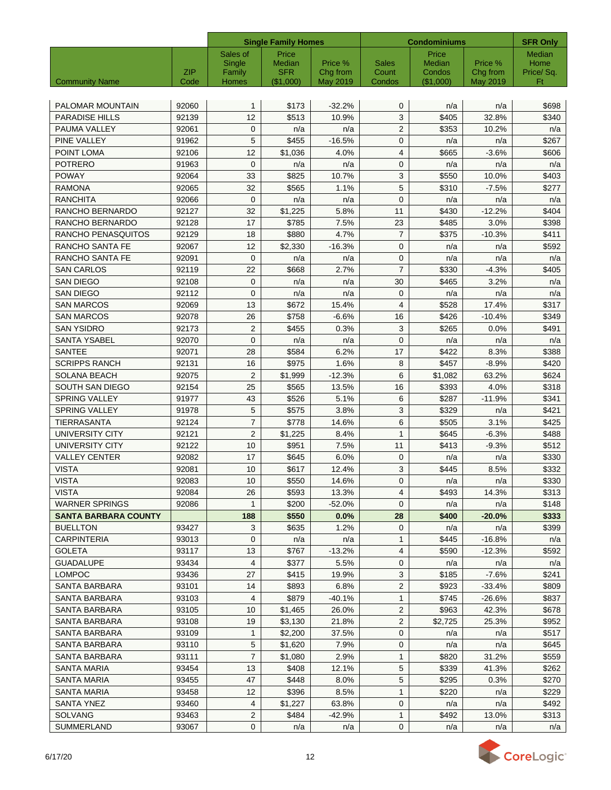|                             |            |                  | <b>Single Family Homes</b> |                     | <b>Condominiums</b>   | <b>SFR Only</b>  |                     |                  |
|-----------------------------|------------|------------------|----------------------------|---------------------|-----------------------|------------------|---------------------|------------------|
|                             |            | Sales of         | Price                      |                     |                       | Price            |                     | Median           |
|                             | <b>ZIP</b> | Single<br>Family | Median<br><b>SFR</b>       | Price %<br>Chg from | <b>Sales</b><br>Count | Median<br>Condos | Price %<br>Chg from | Home             |
| <b>Community Name</b>       | Code       | Homes            | (\$1,000)                  | May 2019            | Condos                | (\$1,000)        | May 2019            | Price/ Sq.<br>Ft |
|                             |            |                  |                            |                     |                       |                  |                     |                  |
| PALOMAR MOUNTAIN            | 92060      | $\mathbf{1}$     | \$173                      | $-32.2%$            | $\mathbf 0$           | n/a              | n/a                 | \$698            |
| <b>PARADISE HILLS</b>       | 92139      | 12               | \$513                      | 10.9%               | 3                     | \$405            | 32.8%               | \$340            |
| PAUMA VALLEY                | 92061      | $\mathbf{0}$     | n/a                        | n/a                 | $\overline{2}$        | \$353            | 10.2%               | n/a              |
| PINE VALLEY                 | 91962      | 5                | \$455                      | $-16.5%$            | $\mathbf{0}$          | n/a              | n/a                 | \$267            |
| POINT LOMA                  | 92106      | 12               | \$1.036                    | 4.0%                | $\overline{4}$        | \$665            | $-3.6%$             | \$606            |
| <b>POTRERO</b>              | 91963      | $\mathbf 0$      | n/a                        | n/a                 | $\mathbf{0}$          | n/a              | n/a                 | n/a              |
| <b>POWAY</b>                | 92064      | 33               | \$825                      | 10.7%               | 3                     | \$550            | 10.0%               | \$403            |
| <b>RAMONA</b>               | 92065      | 32               | \$565                      | 1.1%                | 5                     | \$310            | $-7.5%$             | \$277            |
| RANCHITA                    | 92066      | $\mathbf 0$      | n/a                        | n/a                 | $\mathbf{0}$          | n/a              | n/a                 | n/a              |
| RANCHO BERNARDO             | 92127      | 32               | \$1,225                    | 5.8%                | 11                    | \$430            | $-12.2%$            | \$404            |
| RANCHO BERNARDO             | 92128      | 17               | \$785                      | 7.5%                | 23                    | \$485            | 3.0%                | \$398            |
| RANCHO PENASQUITOS          | 92129      | 18               | \$880                      | 4.7%                | $\overline{7}$        | \$375            | $-10.3%$            | \$411            |
| RANCHO SANTA FE             | 92067      | 12               | \$2,330                    | $-16.3%$            | $\mathbf 0$           | n/a              | n/a                 | \$592            |
| RANCHO SANTA FE             | 92091      | $\mathbf 0$      | n/a                        | n/a                 | $\mathbf 0$           | n/a              | n/a                 | n/a              |
| <b>SAN CARLOS</b>           | 92119      | 22               | \$668                      | 2.7%                | $\overline{7}$        | \$330            | $-4.3%$             | \$405            |
| <b>SAN DIEGO</b>            | 92108      | $\mathbf{0}$     | n/a                        | n/a                 | 30                    | \$465            | 3.2%                | n/a              |
| <b>SAN DIEGO</b>            | 92112      | $\mathbf 0$      | n/a                        | n/a                 | $\mathbf 0$           | n/a              | n/a                 | n/a              |
| <b>SAN MARCOS</b>           | 92069      | 13               | \$672                      | 15.4%               | $\overline{4}$        | \$528            | 17.4%               | \$317            |
| <b>SAN MARCOS</b>           | 92078      | 26               | \$758                      | $-6.6%$             | 16                    | \$426            | $-10.4%$            | \$349            |
| <b>SAN YSIDRO</b>           | 92173      | $\overline{2}$   | \$455                      | 0.3%                | 3                     | \$265            | 0.0%                | \$491            |
| <b>SANTA YSABEL</b>         | 92070      | $\mathbf 0$      | n/a                        | n/a                 | $\mathbf 0$           | n/a              | n/a                 | n/a              |
| <b>SANTEE</b>               | 92071      | 28               | \$584                      | 6.2%                | 17                    | \$422            | 8.3%                | \$388            |
| <b>SCRIPPS RANCH</b>        | 92131      | 16               | \$975                      | 1.6%                | 8                     | \$457            | $-8.9%$             | \$420            |
| <b>SOLANA BEACH</b>         | 92075      | $\overline{2}$   | \$1,999                    | $-12.3%$            | 6                     | \$1,082          | 63.2%               | \$624            |
| SOUTH SAN DIEGO             | 92154      | 25               | \$565                      | 13.5%               | 16                    | \$393            | 4.0%                | \$318            |
| <b>SPRING VALLEY</b>        | 91977      | 43               | \$526                      | 5.1%                | 6                     | \$287            | $-11.9%$            | \$341            |
| <b>SPRING VALLEY</b>        | 91978      | 5                | \$575                      | 3.8%                | 3                     | \$329            | n/a                 | \$421            |
| TIERRASANTA                 | 92124      | $\overline{7}$   | \$778                      | 14.6%               | 6                     | \$505            | 3.1%                | \$425            |
| <b>UNIVERSITY CITY</b>      | 92121      | $\overline{2}$   | \$1,225                    | 8.4%                | $\mathbf{1}$          | \$645            | $-6.3%$             | \$488            |
| <b>UNIVERSITY CITY</b>      | 92122      | 10               | \$951                      | 7.5%                | 11                    | \$413            | $-9.3%$             | \$512            |
| <b>VALLEY CENTER</b>        | 92082      | 17               | \$645                      | 6.0%                | $\mathbf{0}$          | n/a              | n/a                 | \$330            |
| <b>VISTA</b>                | 92081      | 10               | \$617                      | 12.4%               | 3                     | \$445            | 8.5%                | \$332            |
| <b>VISTA</b>                | 92083      | 10               | \$550                      | 14.6%               | $\pmb{0}$             | n/a              | n/a                 | \$330            |
| VISTA                       | 92084      | 26               | \$593                      | 13.3%               | 4                     | \$493            | 14.3%               | \$313            |
| WARNER SPRINGS              | 92086      | $\mathbf{1}$     | \$200                      | $-52.0%$            | $\mathbf{0}$          | n/a              | n/a                 | \$148            |
| <b>SANTA BARBARA COUNTY</b> |            | 188              | \$550                      | 0.0%                | 28                    | \$400            | $-20.0\%$           | \$333            |
| <b>BUELLTON</b>             | 93427      | 3                | \$635                      | 1.2%                | 0                     | n/a              | n/a                 | \$399            |
| <b>CARPINTERIA</b>          | 93013      | 0                | n/a                        | n/a                 | $\mathbf{1}$          | \$445            | $-16.8%$            | n/a              |
| <b>GOLETA</b>               | 93117      | 13               | \$767                      | $-13.2%$            | 4                     | \$590            | $-12.3%$            | \$592            |
| <b>GUADALUPE</b>            | 93434      | 4                | \$377                      | 5.5%                | 0                     | n/a              | n/a                 | n/a              |
| <b>LOMPOC</b>               | 93436      | 27               | \$415                      | 19.9%               | 3                     | \$185            | $-7.6%$             | \$241            |
| SANTA BARBARA               | 93101      | 14               | \$893                      | 6.8%                | $\sqrt{2}$            | \$923            | $-33.4%$            | \$809            |
| SANTA BARBARA               | 93103      | 4                | \$879                      | $-40.1%$            | $\mathbf{1}$          | \$745            | $-26.6%$            | \$837            |
| SANTA BARBARA               | 93105      | 10               | \$1,465                    | 26.0%               | $\overline{2}$        | \$963            | 42.3%               | \$678            |
| SANTA BARBARA               | 93108      | 19               | \$3,130                    | 21.8%               | 2                     | \$2,725          | 25.3%               | \$952            |
| SANTA BARBARA               | 93109      | $\mathbf{1}$     | \$2,200                    | 37.5%               | 0                     | n/a              | n/a                 | \$517            |
| SANTA BARBARA               | 93110      | 5                | \$1,620                    | 7.9%                | 0                     | n/a              | n/a                 | \$645            |
| SANTA BARBARA               | 93111      | $\overline{7}$   | \$1,080                    | 2.9%                | $\mathbf{1}$          | \$820            | 31.2%               | \$559            |
| SANTA MARIA                 | 93454      | 13               | \$408                      | 12.1%               | 5                     | \$339            | 41.3%               | \$262            |
| SANTA MARIA                 | 93455      | 47               | \$448                      | 8.0%                | 5                     | \$295            | 0.3%                | \$270            |
| SANTA MARIA                 | 93458      | 12               | \$396                      | 8.5%                | $\mathbf{1}$          | \$220            | n/a                 | \$229            |
| SANTA YNEZ                  | 93460      | 4                | \$1,227                    | 63.8%               | 0                     | n/a              | n/a                 | \$492            |
| <b>SOLVANG</b>              | 93463      | $\overline{c}$   | \$484                      | $-42.9%$            | $\mathbf{1}$          | \$492            | 13.0%               | \$313            |
| SUMMERLAND                  | 93067      | 0                | n/a                        | n/a                 | $\mathbf 0$           | n/a              | n/a                 | n/a              |